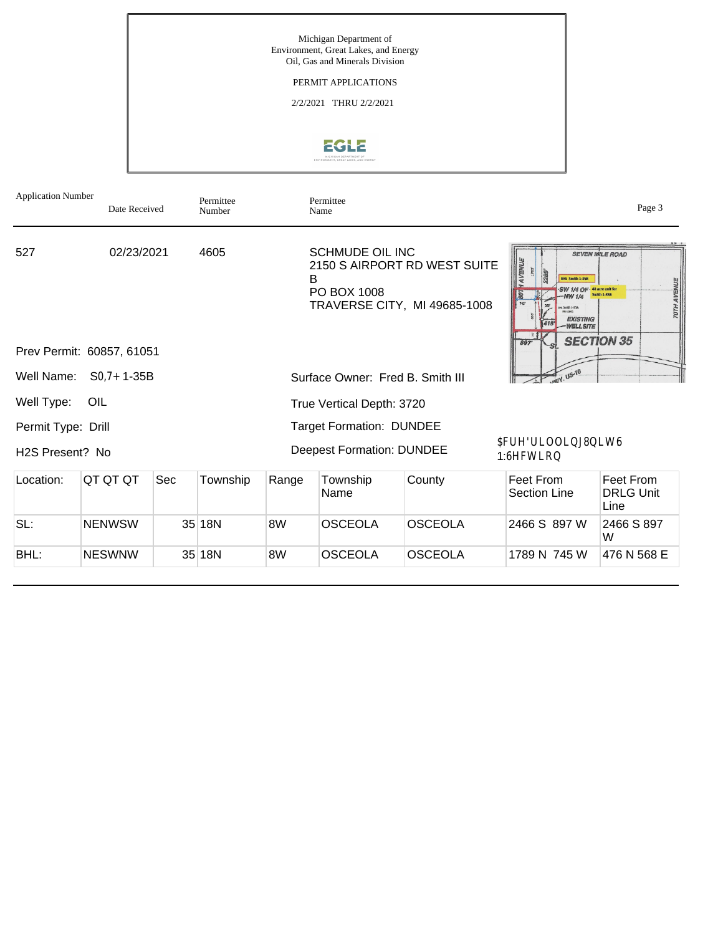Michigan Department of Environment, Great Lakes, and Energy Oil, Gas and Minerals Division PERMIT APPLICATIONS 2/2/2021 THRU 2/2/2021 EGLE Application Number Permittee Permittee Date Received Page 3<br>Name Page 3 Number 02/23/2021 4605 SCHMUDE OIL INC

527

2150 S AIRPORT RD WEST SUITE B PO BOX 1008 TRAVERSE CITY, MI 49685-1008 Prev Permit: 60857, 61051 Well Name: S0,7+ 1-35B Well Type: OIL Permit Type: Drill H2S Present? No Surface Owner: Fred B. Smith III True Vertical Depth: 3720 Target Formation: DUNDEE Deepest Formation: DUNDEE Location: QT QT QT Sec Township Range Township Name County Feet From Section Line Feet From DRLG Unit Line SL: NENWSW 35 18N 8W OSCEOLA OSCEOLA 2466 S 897 W 2466 S 897 W BHL: NESWNW 35 18N 8W OSCEOLA OSCEOLA 1789 N 745 W 476 N 568 E \$FUH 'ULOOLQJ 8QLW 6 1:6HFWLRQ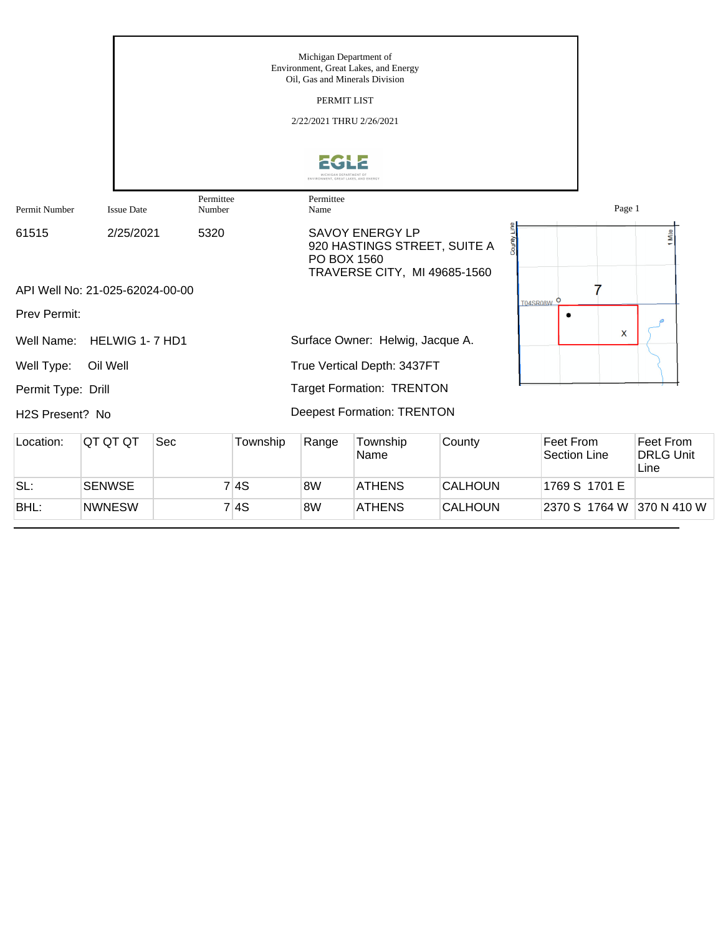|                              |                                 |                     |          | Michigan Department of               | Environment, Great Lakes, and Energy<br>Oil, Gas and Minerals Division          |                |            |                                         |                                              |
|------------------------------|---------------------------------|---------------------|----------|--------------------------------------|---------------------------------------------------------------------------------|----------------|------------|-----------------------------------------|----------------------------------------------|
|                              |                                 |                     |          | PERMIT LIST                          |                                                                                 |                |            |                                         |                                              |
|                              |                                 |                     |          | 2/22/2021 THRU 2/26/2021             |                                                                                 |                |            |                                         |                                              |
|                              |                                 |                     |          | ENVIRONMENT, GREAT LAKES, AND ENERG' |                                                                                 |                |            |                                         |                                              |
| Permit Number                | <b>Issue Date</b>               | Permittee<br>Number |          | Permittee<br>Name                    |                                                                                 |                |            | Page 1                                  |                                              |
| 61515                        | 2/25/2021                       | 5320                |          | PO BOX 1560                          | SAVOY ENERGY LP<br>920 HASTINGS STREET, SUITE A<br>TRAVERSE CITY, MI 49685-1560 |                |            |                                         | Mile                                         |
| Prev Permit:                 | API Well No: 21-025-62024-00-00 |                     |          |                                      |                                                                                 |                | T04SR08W O |                                         |                                              |
| Well Name:                   | HELWIG 1-7 HD1                  |                     |          |                                      | Surface Owner: Helwig, Jacque A.                                                |                |            | X                                       |                                              |
| Well Type:                   | Oil Well                        |                     |          |                                      | True Vertical Depth: 3437FT                                                     |                |            |                                         |                                              |
| Permit Type: Drill           |                                 |                     |          |                                      | <b>Target Formation: TRENTON</b>                                                |                |            |                                         |                                              |
| H <sub>2</sub> S Present? No |                                 |                     |          |                                      | <b>Deepest Formation: TRENTON</b>                                               |                |            |                                         |                                              |
| Location:                    | QT QT QT                        | Sec                 | Township | Range                                | Township<br>Name                                                                | County         |            | <b>Feet From</b><br><b>Section Line</b> | <b>Feet From</b><br><b>DRLG Unit</b><br>Line |
| SL:                          | <b>SENWSE</b>                   |                     | 7 4S     | 8W                                   | <b>ATHENS</b>                                                                   | <b>CALHOUN</b> |            | 1769 S 1701 E                           |                                              |
| BHL:                         | <b>NWNESW</b>                   |                     | 7 4S     | 8W                                   | <b>ATHENS</b>                                                                   | <b>CALHOUN</b> |            | 2370 S 1764 W 370 N 410 W               |                                              |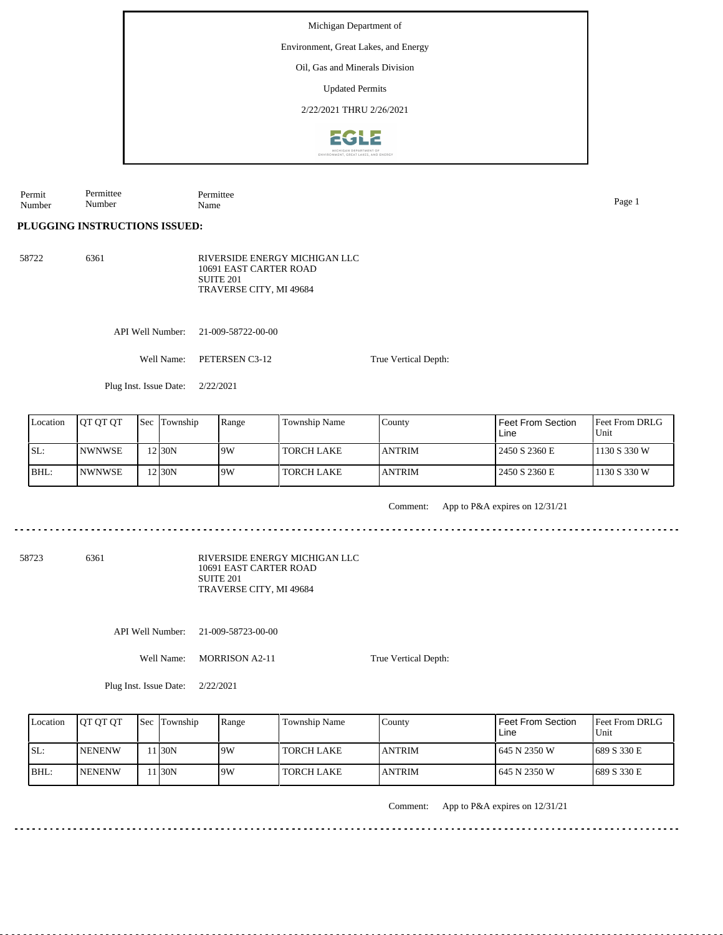Environment, Great Lakes, and Energy

Oil, Gas and Minerals Division

Updated Permits

2/22/2021 THRU 2/26/2021



Permit Number Permittee Number Permittee Name Page 1

**PLUGGING INSTRUCTIONS ISSUED:**

58722 6361 RIVERSIDE ENERGY MICHIGAN LLC 10691 EAST CARTER ROAD SUITE 201 TRAVERSE CITY, MI 49684

API Well Number: 21-009-58722-00-00

Well Name: PETERSEN C3-12

Plug Inst. Issue Date: 2/22/2021

| Location | <b>OT OT OT</b> | <b>Sec</b> Township | Range | Township Name     | County         | l Feet From Section<br>Line | <b>IFeet From DRLG</b><br>Unit |
|----------|-----------------|---------------------|-------|-------------------|----------------|-----------------------------|--------------------------------|
| ISL:     | <b>INWNWSE</b>  | 2130N               | 9W    | <b>TORCH LAKE</b> | <b>LANTRIM</b> | 2450 S 2360 E               | 1130 S 330 W                   |
| BHL:     | <b>INWNWSE</b>  | 12 30 N             | 9W    | <b>TORCH LAKE</b> | <b>LANTRIM</b> | 2450 S 2360 E               | 1130 S 330 W                   |

Comment: App to P&A expires on 12/31/21

58723 6361

RIVERSIDE ENERGY MICHIGAN LLC 10691 EAST CARTER ROAD SUITE 201 TRAVERSE CITY, MI 49684

API Well Number: 21-009-58723-00-00

Well Name: MORRISON A2-11

True Vertical Depth:

True Vertical Depth:

Plug Inst. Issue Date: 2/22/2021

| Location | <b>OT OT OT</b> | <b>Sec</b> Township | Range | Township Name     | County         | Feet From Section<br>Line | <b>IFeet From DRLG</b><br>Unit |
|----------|-----------------|---------------------|-------|-------------------|----------------|---------------------------|--------------------------------|
| SL:      | <b>INENENW</b>  | 1 I30N              | 9W    | TORCH LAKE        | <b>JANTRIM</b> | 1 645 N 2350 W            | 1689 S 330 E                   |
| IBHL:    | <b>INENENW</b>  | 1 I30N              | 9W    | <b>TORCH LAKE</b> | <b>JANTRIM</b> | 1 645 N 2350 W            | 1689 S 330 E                   |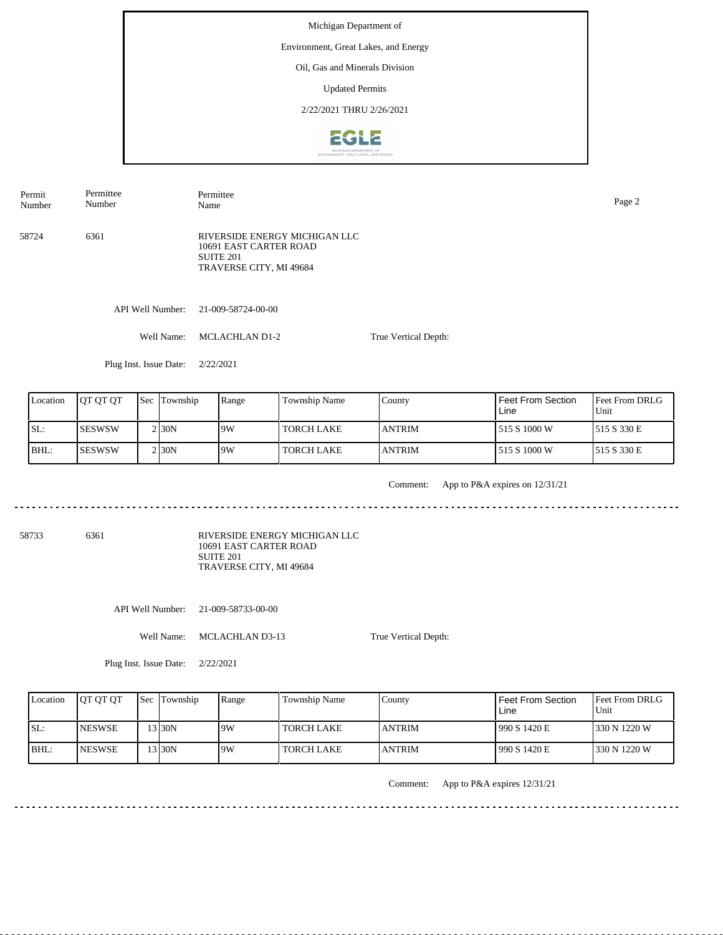### Environment, Great Lakes, and Energy

Oil, Gas and Minerals Division

Updated Permits

2/22/2021 THRU 2/26/2021



Permit Number Permittee Number

Permittee Name Page 2

58724 6361 RIVERSIDE ENERGY MICHIGAN LLC 10691 EAST CARTER ROAD SUITE 201 TRAVERSE CITY, MI 49684

API Well Number: 21-009-58724-00-00

Well Name: MCLACHLAN D1-2

True Vertical Depth:

Plug Inst. Issue Date: 2/22/2021

| Location | <b>IOT OT OT</b> | <b>Sec Township</b> | Range | Township Name | County         | Feet From Section<br>Line | <b>IFeet From DRLG</b><br>Unit |
|----------|------------------|---------------------|-------|---------------|----------------|---------------------------|--------------------------------|
| SL:      | ISESWSW          | 2 <sub>30</sub> N   | 9W    | I TORCH LAKE  | <b>JANTRIM</b> | 515 S 1000 W              | 1515 S 330 E                   |
| BHL:     | ISESWSW          | 2130N               | 9W    | TORCH LAKE    | <b>JANTRIM</b> | 1 515 S 1000 W            | 1515 S 330 E                   |

<u>. . . . . . . . . . .</u>

Comment: App to P&A expires on 12/31/21

58733 6361

RIVERSIDE ENERGY MICHIGAN LLC 10691 EAST CARTER ROAD SUITE 201 TRAVERSE CITY, MI 49684

API Well Number: 21-009-58733-00-00

Well Name: MCLACHLAN D3-13

True Vertical Depth:

Plug Inst. Issue Date: 2/22/2021

| Location | <b>IOT OT OT</b> | <b>Sec Township</b> | Range | Township Name | County        | l Feet From Section<br>Line | <b>Feet From DRLG</b><br>Unit |
|----------|------------------|---------------------|-------|---------------|---------------|-----------------------------|-------------------------------|
| ISL:     | <b>INESWSE</b>   | $3$ 30N             | 9W    | TORCH LAKE    | <b>ANTRIM</b> | 990 S 1420 E                | 330 N 1220 W                  |
| BHL:     | <b>INESWSE</b>   | $'3$ 30N            | 9W    | TORCH LAKE    | <b>ANTRIM</b> | 1990 S 1420 E               | 1330 N 1220 W                 |

Comment: App to P&A expires 12/31/21

<u>. . . . . . . . . . . . . . . . .</u>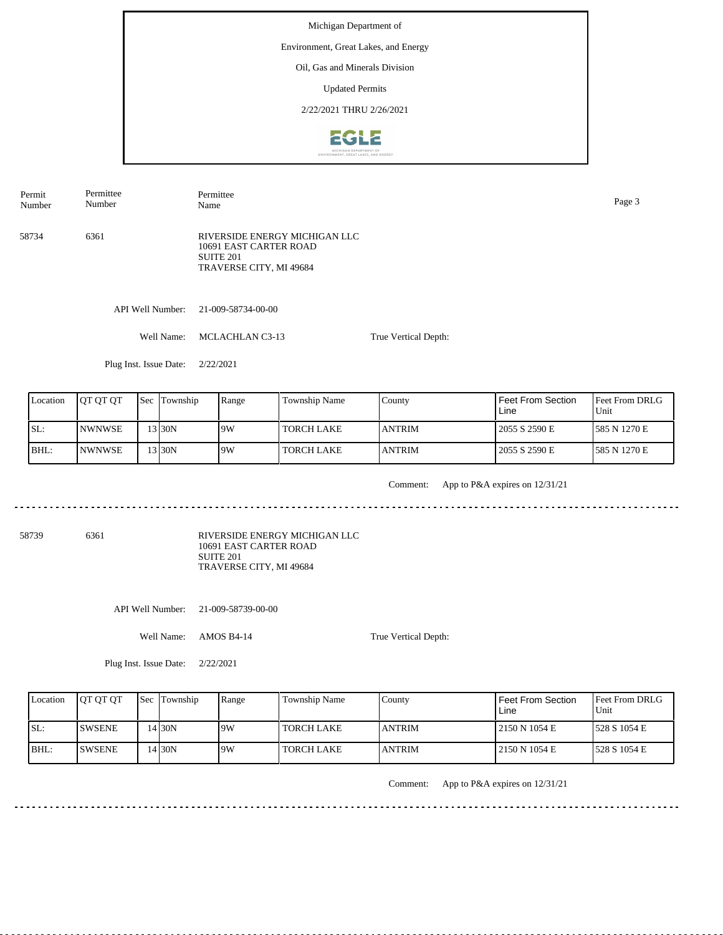### Environment, Great Lakes, and Energy

Oil, Gas and Minerals Division

Updated Permits

2/22/2021 THRU 2/26/2021



Permit Number Permittee Name Page 3

58734 6361 RIVERSIDE ENERGY MICHIGAN LLC 10691 EAST CARTER ROAD SUITE 201 TRAVERSE CITY, MI 49684

Permittee Number

API Well Number: 21-009-58734-00-00

Well Name: MCLACHLAN C3-13

True Vertical Depth:

Plug Inst. Issue Date: 2/22/2021

| Location | <b>IOT OT OT</b> | <b>Sec</b> Township | Range | Township Name     | County         | Feet From Section<br>Line | <b>Feet From DRLG</b><br>Unit |
|----------|------------------|---------------------|-------|-------------------|----------------|---------------------------|-------------------------------|
| ISL:     | <b>INWNWSE</b>   | 3 30N               | 19W   | <b>TORCH LAKE</b> | <b>LANTRIM</b> | 2055 S 2590 E             | 1585 N 1270 E                 |
| BHL:     | INWNWSE          | '3130N              | 19W   | <b>TORCH LAKE</b> | <b>JANTRIM</b> | 2055 S 2590 E             | 1585 N 1270 E                 |

<u>. . . . . . . . . . .</u>

Comment: App to P&A expires on 12/31/21

<u>. . . . . . . . . . .</u>

58739 6361

RIVERSIDE ENERGY MICHIGAN LLC 10691 EAST CARTER ROAD SUITE 201 TRAVERSE CITY, MI 49684

API Well Number: 21-009-58739-00-00

Well Name: AMOS B4-14

True Vertical Depth:

Plug Inst. Issue Date: 2/22/2021

| Location | <b>IOT OT OT</b> | <b>Sec</b> Township | Range | Township Name     | County         | Feet From Section<br>Line | <b>Feet From DRLG</b><br>Unit |
|----------|------------------|---------------------|-------|-------------------|----------------|---------------------------|-------------------------------|
| ISL:     | ISWSENE          | 14 <sub>30N</sub>   | 9W    | <b>TORCH LAKE</b> | <b>LANTRIM</b> | 12150 N 1054 E            | 1528 S 1054 E                 |
| BHL:     | <b>ISWSENE</b>   | 14 30N              | 19W   | <b>TORCH LAKE</b> | <b>LANTRIM</b> | 12150 N 1054 E            | 1528 S 1054 E                 |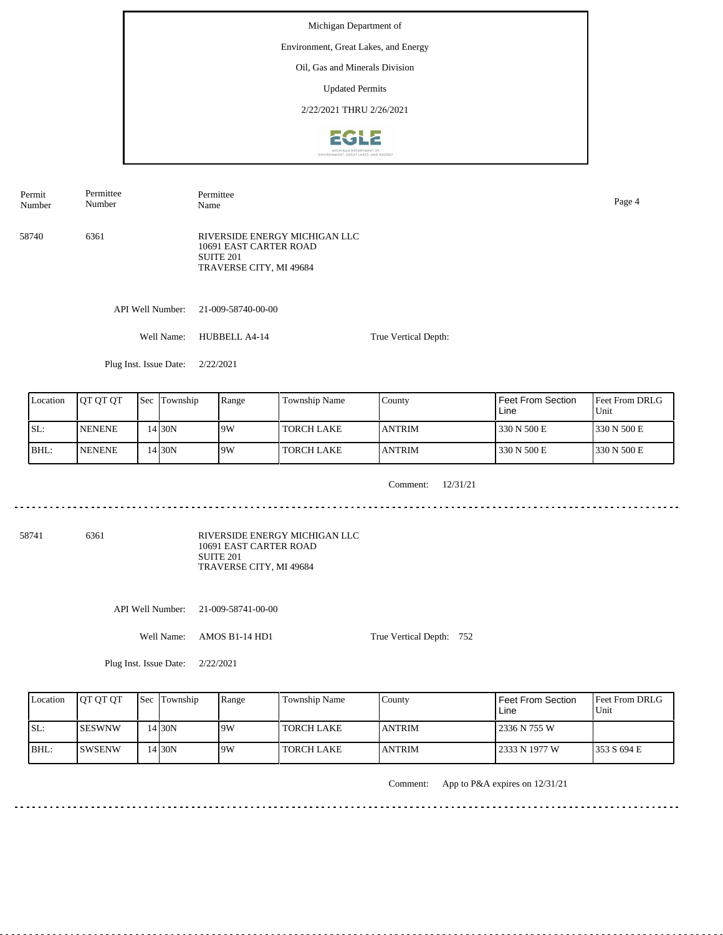### Environment, Great Lakes, and Energy

Oil, Gas and Minerals Division

Updated Permits

2/22/2021 THRU 2/26/2021



Permit Number Permittee Number

Permittee Name Page 4

58740 6361

RIVERSIDE ENERGY MICHIGAN LLC 10691 EAST CARTER ROAD SUITE 201 TRAVERSE CITY, MI 49684

API Well Number: 21-009-58740-00-00

Well Name: HUBBELL A4-14 True Vertical Depth:

Plug Inst. Issue Date: 2/22/2021

| Location | <b>IOT OT OT</b> | <b>Sec Township</b> | Range | <b>Township Name</b> | County         | Feet From Section<br>Line | <b>Feet From DRLG</b><br>Unit |
|----------|------------------|---------------------|-------|----------------------|----------------|---------------------------|-------------------------------|
| ISL:     | <b>NENENE</b>    | 4 30N               | 9W    | I TORCH LAKE         | <b>LANTRIM</b> | 330 N 500 E               | 1330 N 500 E                  |
| BHL:     | <b>NENENE</b>    | 4 30N               | 9W    | <b>TORCH LAKE</b>    | <b>JANTRIM</b> | 330 N 500 E               | 330 N 500 E                   |

Comment: 12/31/21

<u>. . . . . . . . . . . . . . .</u>

58741 6361

RIVERSIDE ENERGY MICHIGAN LLC 10691 EAST CARTER ROAD SUITE 201 TRAVERSE CITY, MI 49684

API Well Number: 21-009-58741-00-00

Well Name: AMOS B1-14 HD1

True Vertical Depth: 752

Plug Inst. Issue Date: 2/22/2021

| Location | <b>IOT OT OT</b> | <b>Sec Township</b> | Range | Township Name     | County         | Feet From Section<br>Line | <b>Feet From DRLG</b><br>Unit |
|----------|------------------|---------------------|-------|-------------------|----------------|---------------------------|-------------------------------|
| SL:      | <b>ISESWNW</b>   | $14$ 30N            | 19W   | <b>TORCH LAKE</b> | <b>JANTRIM</b> | 2336 N 755 W              |                               |
| BHL:     | <b>ISWSENW</b>   | $.4$ 30N            | 19W   | <b>TORCH LAKE</b> | <b>JANTRIM</b> | 2333 N 1977 W             | 1353 S 694 E                  |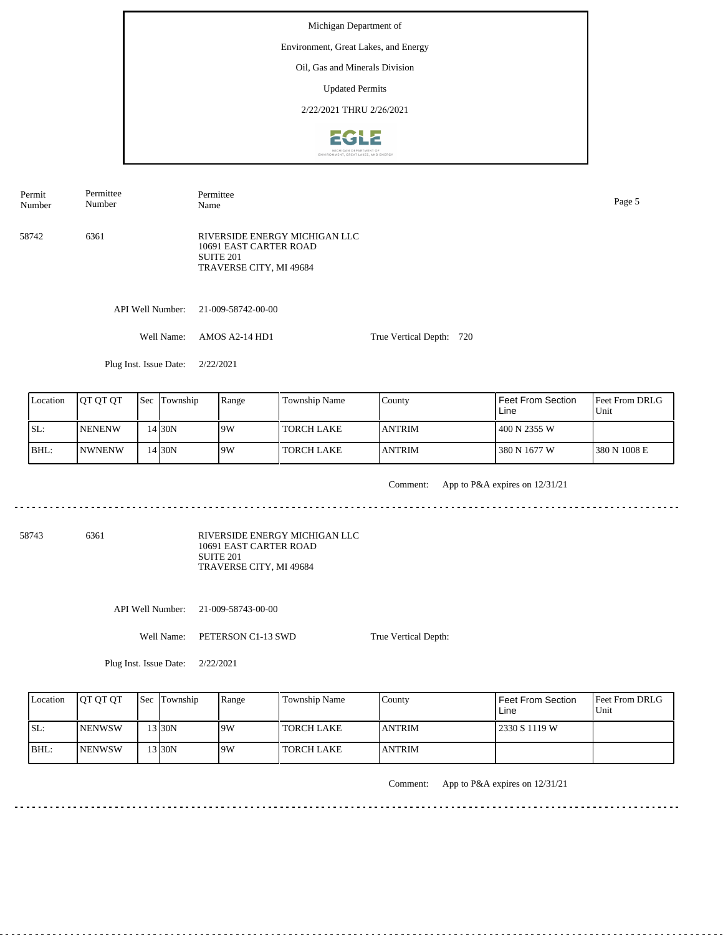### Environment, Great Lakes, and Energy

Oil, Gas and Minerals Division

Updated Permits

2/22/2021 THRU 2/26/2021



Name Page 5

Permit Number Permittee Number

58742 6361 RIVERSIDE ENERGY MICHIGAN LLC 10691 EAST CARTER ROAD SUITE 201 TRAVERSE CITY, MI 49684

API Well Number: 21-009-58742-00-00

Permittee

Well Name: AMOS A2-14 HD1 True Vertical Depth: 720

Plug Inst. Issue Date: 2/22/2021

| Location | <b>IOT OT OT</b> | <b>Sec Township</b> | Range | Township Name     | County         | Feet From Section<br>Line | <b>Feet From DRLG</b><br>Unit |
|----------|------------------|---------------------|-------|-------------------|----------------|---------------------------|-------------------------------|
| ISL:     | <b>INENENW</b>   | 4 30N               | 19W   | TORCH LAKE        | <b>LANTRIM</b> | 400 N 2355 W              |                               |
| BHL:     | <b>INWNENW</b>   | 4 30N               | 9W    | <b>TORCH LAKE</b> | <b>JANTRIM</b> | 380 N 1677 W              | 380 N 1008 E                  |

<u>. . . . . . . . . .</u>

Comment: App to P&A expires on 12/31/21

58743 6361

RIVERSIDE ENERGY MICHIGAN LLC 10691 EAST CARTER ROAD SUITE 201 TRAVERSE CITY, MI 49684

API Well Number: 21-009-58743-00-00

Well Name: PETERSON C1-13 SWD

True Vertical Depth:

Plug Inst. Issue Date: 2/22/2021

| Location | <b>OT OT OT</b> | <b>Sec Township</b> | Range | Township Name     | County         | <b>Feet From Section</b><br>Line | <b>Feet From DRLG</b><br>Unit |
|----------|-----------------|---------------------|-------|-------------------|----------------|----------------------------------|-------------------------------|
| ISL:     | <b>NENWSW</b>   | $13$ 30N            | 9W    | <b>TORCH LAKE</b> | <b>JANTRIM</b> | 2330 S 1119 W                    |                               |
| BHL:     | <b>INENWSW</b>  | 13130N              | 9W    | <b>TORCH LAKE</b> | <b>ANTRIM</b>  |                                  |                               |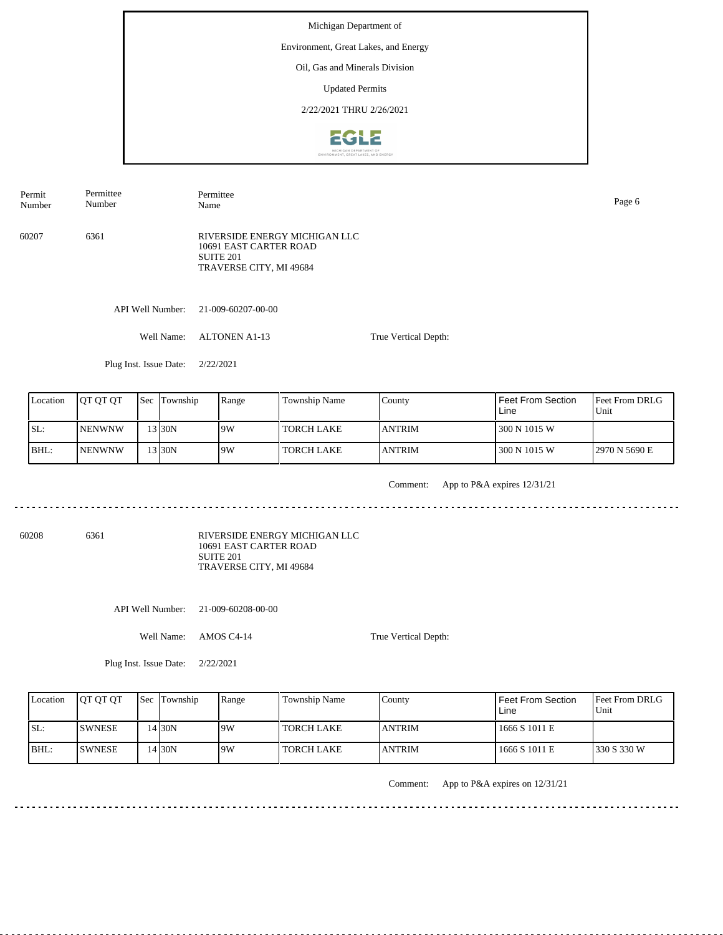### Environment, Great Lakes, and Energy

Oil, Gas and Minerals Division

Updated Permits

2/22/2021 THRU 2/26/2021



Permit Number

Permittee Number

Permittee Name Page 6

60207 6361

RIVERSIDE ENERGY MICHIGAN LLC 10691 EAST CARTER ROAD SUITE 201 TRAVERSE CITY, MI 49684

API Well Number: 21-009-60207-00-00

Well Name: ALTONEN A1-13 True Vertical Depth:

Plug Inst. Issue Date: 2/22/2021

| Location | <b>IOT OT OT</b> | <b>Sec</b> Township | Range | Township Name | Countv         | Feet From Section<br>Line | <b>Feet From DRLG</b><br>Unit |
|----------|------------------|---------------------|-------|---------------|----------------|---------------------------|-------------------------------|
| ISL:     | <b>INENWNW</b>   | 3 30N               | 9W    | I TORCH LAKE  | <b>LANTRIM</b> | 300 N 1015 W              |                               |
| BHL:     | <b>NENWNW</b>    | 3 30N               | 9W    | I TORCH LAKE  | <b>LANTRIM</b> | 300 N 1015 W              | 12970 N 5690 E                |

<u>. . . . . . . . . . .</u>

Comment: App to P&A expires 12/31/21

<u>. . . . . . . . . . .</u>

60208 6361

RIVERSIDE ENERGY MICHIGAN LLC 10691 EAST CARTER ROAD SUITE 201 TRAVERSE CITY, MI 49684

API Well Number: 21-009-60208-00-00

Well Name: AMOS C4-14

True Vertical Depth:

Plug Inst. Issue Date: 2/22/2021

| Location | <b>IOT OT OT</b> | <b>Sec Township</b> | Range | <b>Township Name</b> | Countv        | Feet From Section<br>Line | <b>Feet From DRLG</b><br>Unit |
|----------|------------------|---------------------|-------|----------------------|---------------|---------------------------|-------------------------------|
| ISL:     | <b>ISWNESE</b>   | 4130N               | 9W    | TORCH LAKE           | <b>ANTRIM</b> | 1666 S 1011 E             |                               |
| BHL:     | <b>ISWNESE</b>   | 4 30N               | 9W    | TORCH LAKE           | <b>ANTRIM</b> | 1666 S 1011 E             | 1330 S 330 W                  |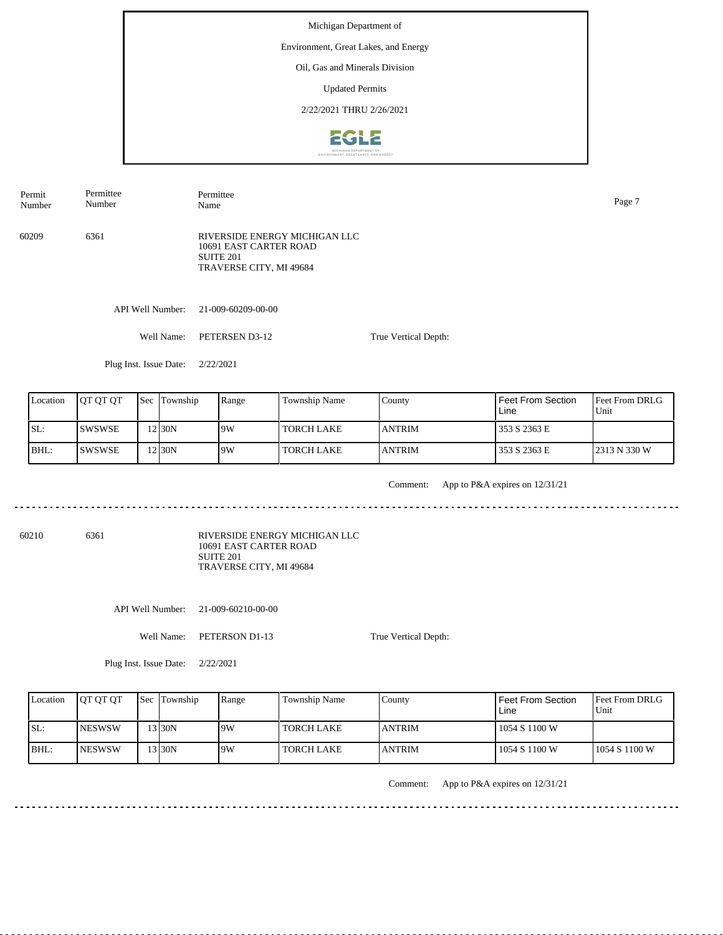# Environment, Great Lakes, and Energy

Oil, Gas and Minerals Division

Updated Permits

2/22/2021 THRU 2/26/2021



Permit Number Permittee Number

Permittee Name Page 7

60209 6361

RIVERSIDE ENERGY MICHIGAN LLC 10691 EAST CARTER ROAD SUITE 201 TRAVERSE CITY, MI 49684

API Well Number: 21-009-60209-00-00

Well Name: PETERSEN D3-12 True Vertical Depth:

Plug Inst. Issue Date: 2/22/2021

| Location | <b>IOT OT OT</b> | <b>Sec Township</b> | Range | Township Name | County         | I Feet From Section<br>Line | <b>IFeet From DRLG</b><br>Unit |
|----------|------------------|---------------------|-------|---------------|----------------|-----------------------------|--------------------------------|
| ISL:     | ISWSWSE          | 2130N               | 19W   | TORCH LAKE    | <b>JANTRIM</b> | 353 S 2363 E                |                                |
| BHL:     | ISWSWSE          | !2 30N              | 19W   | TORCH LAKE    | <b>JANTRIM</b> | 353 S 2363 E                | 2313 N 330 W                   |

<u>. . . . . . . . . .</u>

Comment: App to P&A expires on 12/31/21

<u>. . . . . . . . . . .</u>

60210 6361

RIVERSIDE ENERGY MICHIGAN LLC 10691 EAST CARTER ROAD SUITE 201 TRAVERSE CITY, MI 49684

API Well Number: 21-009-60210-00-00

Well Name: PETERSON D1-13

True Vertical Depth:

Plug Inst. Issue Date: 2/22/2021

| Location | <b>IOT OT OT</b> | <b>Sec Township</b> | Range | Township Name     | County         | <b>Feet From Section</b><br>Line | <b>IFeet From DRLG</b><br>Unit |
|----------|------------------|---------------------|-------|-------------------|----------------|----------------------------------|--------------------------------|
| SL:      | <b>INESWSW</b>   | 13 30N              | 9W    | <b>TORCH LAKE</b> | <b>JANTRIM</b> | 1054 S 1100 W                    |                                |
| BHL:     | <b>INESWSW</b>   | 3130N               | 9W    | <b>TORCH LAKE</b> | <b>JANTRIM</b> | 1054 S 1100 W                    | 11054 S 1100 W                 |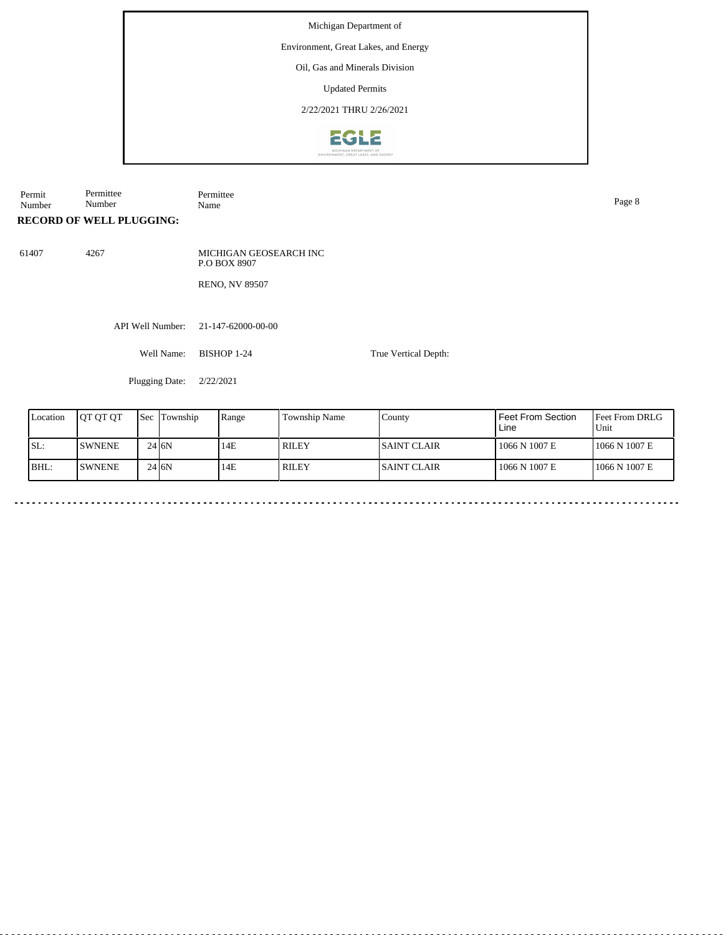### Environment, Great Lakes, and Energy

Oil, Gas and Minerals Division

Updated Permits

2/22/2021 THRU 2/26/2021



Permit Number Permittee Number Permittee<br>Name Name Page 8

**RECORD OF WELL PLUGGING:**

61407 4267

MICHIGAN GEOSEARCH INC P.O BOX 8907 RENO, NV 89507

API Well Number: 21-147-62000-00-00

Well Name: BISHOP 1-24

Plugging Date: 2/22/2021

| Location | IOT OT OT      | 'Sec | Township | Range | <b>Township Name</b> | County       | l Feet From Section<br>Line | <b>IFeet From DRLG</b><br>Unit |
|----------|----------------|------|----------|-------|----------------------|--------------|-----------------------------|--------------------------------|
| SL:      | <b>ISWNENE</b> |      | 24 I6N   | 14E   | RILEY                | ISAINT CLAIR | 1066 N 1007 E               | 1066 N 1007 E                  |
| BHL:     | <b>SWNENE</b>  |      | 24 J6N   | 14E   | RILEY                | ISAINT CLAIR | 1066 N 1007 E               | 1066 N 1007 E                  |

True Vertical Depth: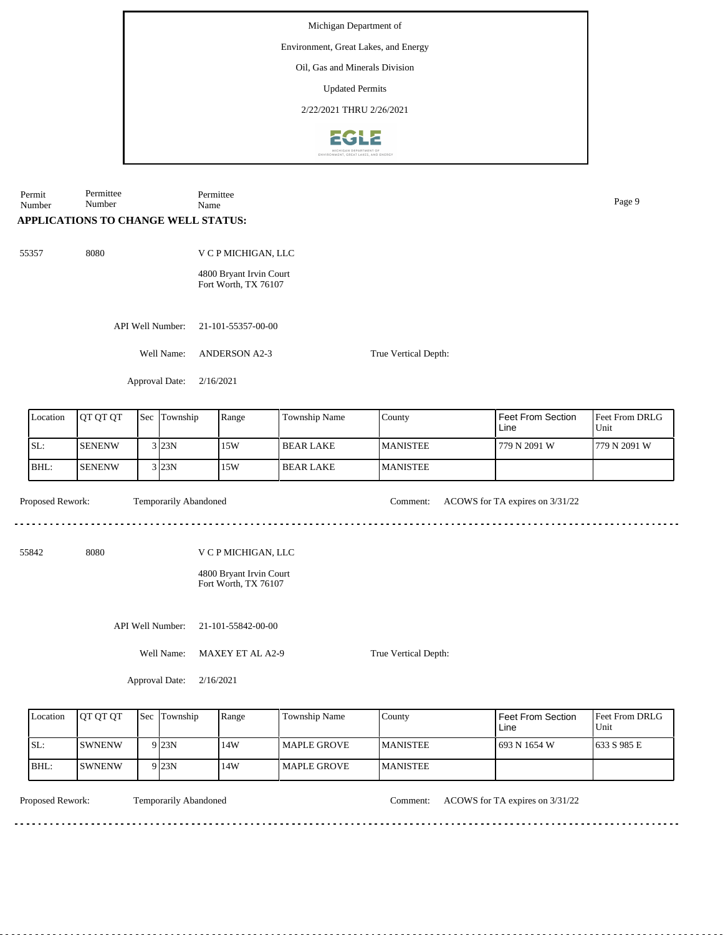Environment, Great Lakes, and Energy

Oil, Gas and Minerals Division

Updated Permits

2/22/2021 THRU 2/26/2021



Permit Number Permittee Number Permittee Name Page 9

# **APPLICATIONS TO CHANGE WELL STATUS:**

55357 8080

4800 Bryant Irvin Court Fort Worth, TX 76107

V C P MICHIGAN, LLC

API Well Number: 21-101-55357-00-00

Well Name: ANDERSON A2-3

Approval Date: 2/16/2021

| Location | <b>IOT OT OT</b> | <b>Sec</b> | Township | Range | Township Name    | County          | Feet From Section<br>Line | <b>Feet From DRLG</b><br>Unit |
|----------|------------------|------------|----------|-------|------------------|-----------------|---------------------------|-------------------------------|
| SL:      | <b>SENENW</b>    |            | $3$ 23N  | 15W   | <b>BEAR LAKE</b> | <b>MANISTEE</b> | 779 N 2091 W              | 1779 N 2091 W                 |
| BHL:     | <b>SENENW</b>    |            | 3 23N    | 15W   | <b>BEAR LAKE</b> | <b>MANISTEE</b> |                           |                               |

True Vertical Depth:

True Vertical Depth:

Temporarily Abandoned

Proposed Rework: Temporarily Abandoned Comment: ACOWS for TA expires on  $3/31/22$ 

<u>. . . . . . . . .</u>

dia a dia a di

55842 8080

V C P MICHIGAN, LLC

4800 Bryant Irvin Court Fort Worth, TX 76107

API Well Number: 21-101-55842-00-00

Well Name: MAXEY ET AL A2-9

Approval Date: 2/16/2021

| Location | <b>IOT OT OT</b> | <b>Sec Township</b> | Range | Township Name        | Countv           | Feet From Section<br>Line | <b>Feet From DRLG</b><br>l Unit |
|----------|------------------|---------------------|-------|----------------------|------------------|---------------------------|---------------------------------|
| SL:      | ISWNENW          | 9 <sub>23N</sub>    | 14W   | <b>I MAPLE GROVE</b> | <b>IMANISTEE</b> | 1693 N 1654 W             | 1633 S 985 E                    |
| BHL:     | <b>SWNENW</b>    | 9 <sub>23N</sub>    | 14W   | <b>I MAPLE GROVE</b> | <b>IMANISTEE</b> |                           |                                 |

Temporarily Abandoned

Proposed Rework: Temporarily Abandoned Comment: ACOWS for TA expires on  $3/31/22$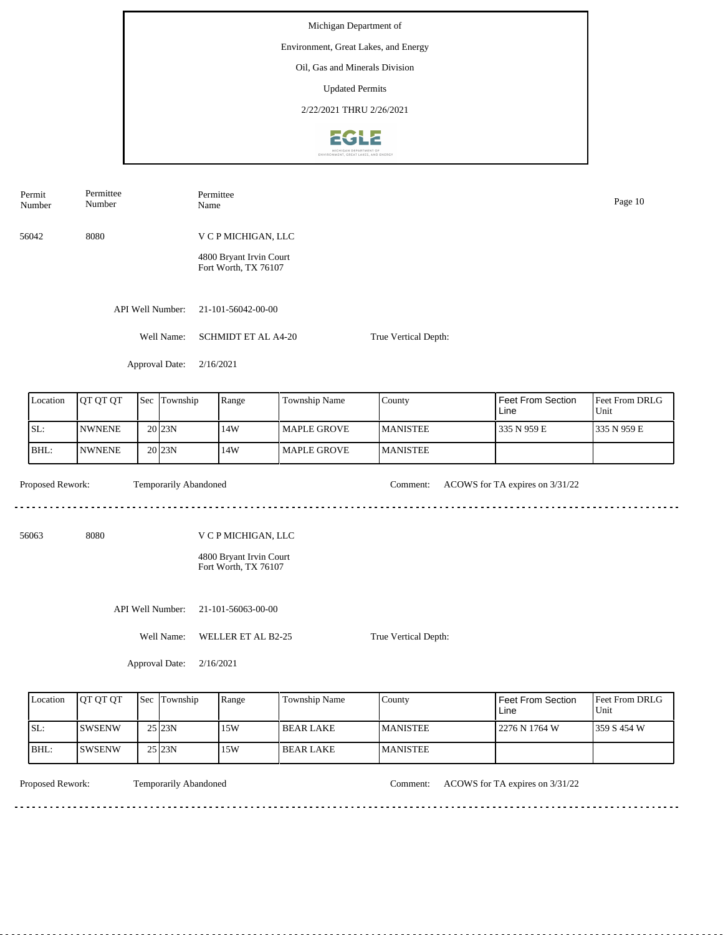Permit Permittee Permittee Number Name Page 10 Number 56042 8080 V C P MICHIGAN, LLC 4800 Bryant Irvin Court Fort Worth, TX 76107 API Well Number: 21-101-56042-00-00 Well Name: SCHMIDT ET AL A4-20 True Vertical Depth: Approval Date: 2/16/2021 Feet From Section County Location | QT QT QT | Sec | Township | Range | Township Name Sec Township Feet From DRLG Line Unit SL: NWNENE 14W MAPLE GROVE MANISTEE 335 N 959 E 335 N 959 E 20 23N BHL: 23N 14W NWNENE 20 MAPLE GROVE MANISTEE Proposed Rework: Temporarily Abandoned Comment: ACOWS for TA expires on  $3/31/22$ Temporarily Abandoned <u>. . . . . . .</u> . . . . . . . . . . . . . . . . . . . . 56063 8080 V C P MICHIGAN, LLC 4800 Bryant Irvin Court Fort Worth, TX 76107 API Well Number: 21-101-56063-00-00 Well Name: WELLER ET AL B2-25 True Vertical Depth: Approval Date: 2/16/2021

| Location | <b>OT OT OT</b> | Sec Township        | Range | <b>Township Name</b> | County           | Feet From Section<br>Line | <b>Feet From DRLG</b><br>Unit |
|----------|-----------------|---------------------|-------|----------------------|------------------|---------------------------|-------------------------------|
| SL:      | <b>SWSENW</b>   | 25 23N              | 15W   | I BEAR LAKE          | <b>IMANISTEE</b> | 2276 N 1764 W             | 1359 S 454 W                  |
| IBHL:    | <b>SWSENW</b>   | $25$ <sub>23N</sub> | 15W   | <b>BEAR LAKE</b>     | <b>MANISTEE</b>  |                           |                               |

<u>. . . . . . . .</u>

Temporarily Abandoned

Proposed Rework: Temporarily Abandoned Comment: ACOWS for TA expires on  $3/31/22$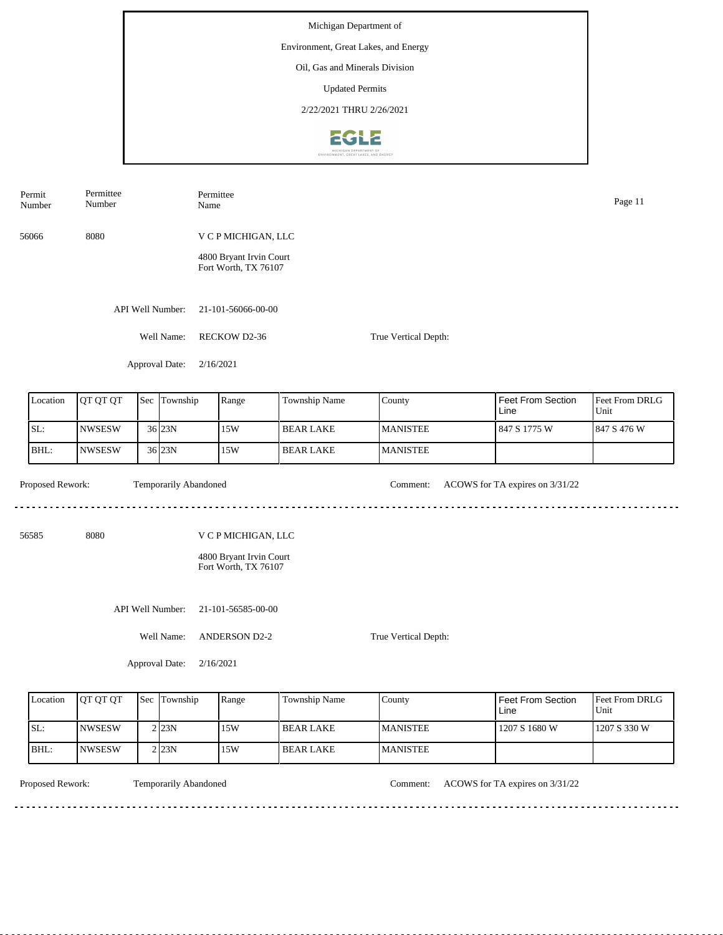| Permit<br>Number | Permittee<br>Number |  |                       | Name      | Permittee                                       |                  |                      |                                 |                        |  |
|------------------|---------------------|--|-----------------------|-----------|-------------------------------------------------|------------------|----------------------|---------------------------------|------------------------|--|
| 56066            | 8080                |  |                       |           | V C P MICHIGAN, LLC                             |                  |                      |                                 |                        |  |
|                  |                     |  |                       |           | 4800 Bryant Irvin Court<br>Fort Worth, TX 76107 |                  |                      |                                 |                        |  |
|                  |                     |  | API Well Number:      |           | 21-101-56066-00-00                              |                  |                      |                                 |                        |  |
|                  |                     |  | Well Name:            |           | RECKOW D2-36                                    |                  | True Vertical Depth: |                                 |                        |  |
|                  |                     |  | Approval Date:        | 2/16/2021 |                                                 |                  |                      |                                 |                        |  |
| Location         | QT QT QT            |  | Sec Township          |           | Range                                           | Township Name    | County               | Feet From Section<br>Line       | Feet From DRLG<br>Unit |  |
| SL:              | <b>NWSESW</b>       |  | 36 23N                |           | 15W                                             | <b>BEAR LAKE</b> | <b>MANISTEE</b>      | 847 S 1775 W                    | 847 S 476 W            |  |
| BHL:             | <b>NWSESW</b>       |  | 36 23N                |           | 15W                                             | <b>BEAR LAKE</b> | <b>MANISTEE</b>      |                                 |                        |  |
| Proposed Rework: |                     |  | Temporarily Abandoned |           |                                                 |                  | Comment:             | ACOWS for TA expires on 3/31/22 |                        |  |
| 56585            | 8080                |  |                       |           | V C P MICHIGAN, LLC                             |                  |                      |                                 |                        |  |
|                  |                     |  |                       |           | 4800 Bryant Irvin Court<br>Fort Worth, TX 76107 |                  |                      |                                 |                        |  |
|                  |                     |  | API Well Number:      |           | 21-101-56585-00-00                              |                  |                      |                                 |                        |  |
| Well Name:       |                     |  |                       |           | <b>ANDERSON D2-2</b>                            |                  | True Vertical Depth: |                                 |                        |  |
|                  |                     |  | Approval Date:        | 2/16/2021 |                                                 |                  |                      |                                 |                        |  |
|                  |                     |  |                       |           |                                                 |                  |                      |                                 |                        |  |

| <b>L</b> ocation | <b>OT OT OT</b> | <b>Sec</b> Township | Range | Township Name    | County           | <b>Feet From Section</b><br>Line | <b>Feet From DRLG</b><br>l Unit |
|------------------|-----------------|---------------------|-------|------------------|------------------|----------------------------------|---------------------------------|
| SL:              | INWSESW         | 2123N               | 15W   | <b>BEAR LAKE</b> | <b>IMANISTEE</b> | 1207 S 1680 W                    | 1207 S 330 W                    |
| BHL:             | INWSESW         | 2 23N               | 15W   | <b>BEAR LAKE</b> | <b>MANISTEE</b>  |                                  |                                 |

. . . . . . . . . . .

Temporarily Abandoned

Proposed Rework: Temporarily Abandoned Comment: ACOWS for TA expires on 3/31/22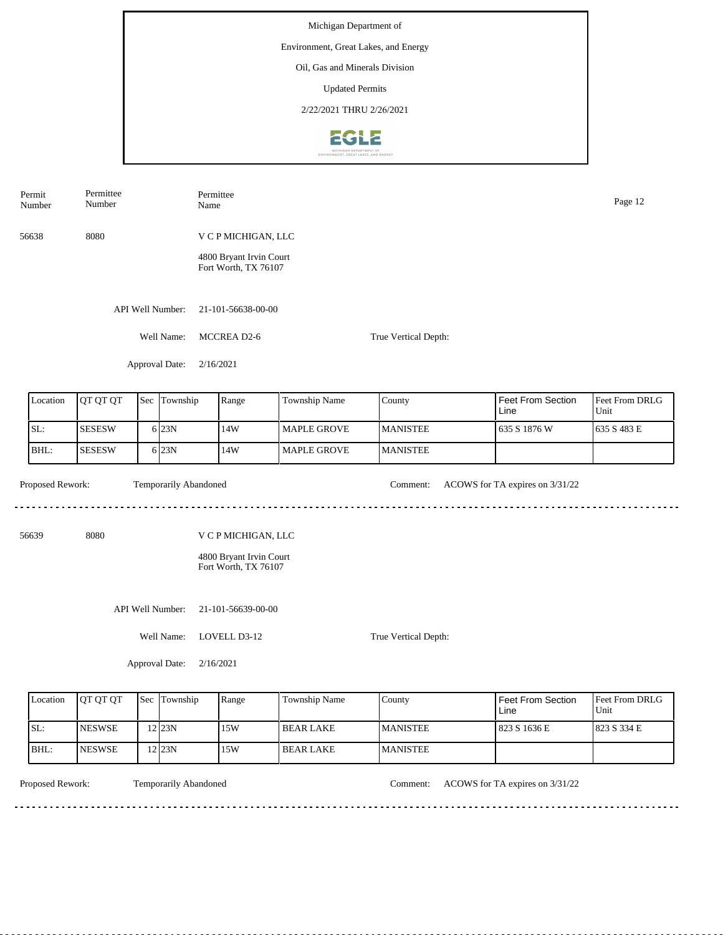| Permit<br>Number | Permittee<br>Number |                       | Permittee<br>Name                               |                    |                      |                                  | Page 12                |
|------------------|---------------------|-----------------------|-------------------------------------------------|--------------------|----------------------|----------------------------------|------------------------|
| 56638            | 8080                |                       | V C P MICHIGAN, LLC                             |                    |                      |                                  |                        |
|                  |                     |                       | 4800 Bryant Irvin Court<br>Fort Worth, TX 76107 |                    |                      |                                  |                        |
|                  |                     | API Well Number:      | 21-101-56638-00-00                              |                    |                      |                                  |                        |
|                  |                     | Well Name:            | MCCREA D2-6                                     |                    | True Vertical Depth: |                                  |                        |
|                  |                     | Approval Date:        | 2/16/2021                                       |                    |                      |                                  |                        |
| Location         | QT QT QT            | Sec Township          | Range                                           | Township Name      | County               | <b>Feet From Section</b><br>Line | Feet From DRLG<br>Unit |
| SL:              | <b>SESESW</b>       | 6 23N                 | 14W                                             | <b>MAPLE GROVE</b> | <b>MANISTEE</b>      | 635 S 1876 W                     | 635 S 483 E            |
| BHL:             | <b>SESESW</b>       | 6 23N                 | 14W                                             | MAPLE GROVE        | <b>MANISTEE</b>      |                                  |                        |
| Proposed Rework: |                     | Temporarily Abandoned |                                                 |                    | Comment:             | ACOWS for TA expires on 3/31/22  |                        |
| 56639            | 8080                |                       | V C P MICHIGAN, LLC                             |                    |                      |                                  |                        |
|                  |                     |                       | 4800 Bryant Irvin Court<br>Fort Worth, TX 76107 |                    |                      |                                  |                        |
|                  |                     | API Well Number:      | 21-101-56639-00-00                              |                    |                      |                                  |                        |
|                  |                     | Well Name:            | LOVELL D3-12                                    |                    | True Vertical Depth: |                                  |                        |
|                  |                     | Approval Date:        | 2/16/2021                                       |                    |                      |                                  |                        |

| Location | <b>OT OT OT</b> | <b>Sec Township</b> | Range | <b>Township Name</b> | County           | Feet From Section<br>Line | <b>Feet From DRLG</b><br>Unit |
|----------|-----------------|---------------------|-------|----------------------|------------------|---------------------------|-------------------------------|
| SL:      | <b>NESWSE</b>   | $2$ 23N             | 15W   | l BEAR LAKE          | <b>IMANISTEE</b> | 823 S 1636 E              | 1823 S 334 E                  |
| BHL:     | <b>INESWSE</b>  | $2$ 23N             | 15W   | l BEAR LAKE          | <b>MANISTEE</b>  |                           |                               |

<u>. . . . . . . . . .</u>

Temporarily Abandoned

Proposed Rework: Temporarily Abandoned Comment: ACOWS for TA expires on 3/31/22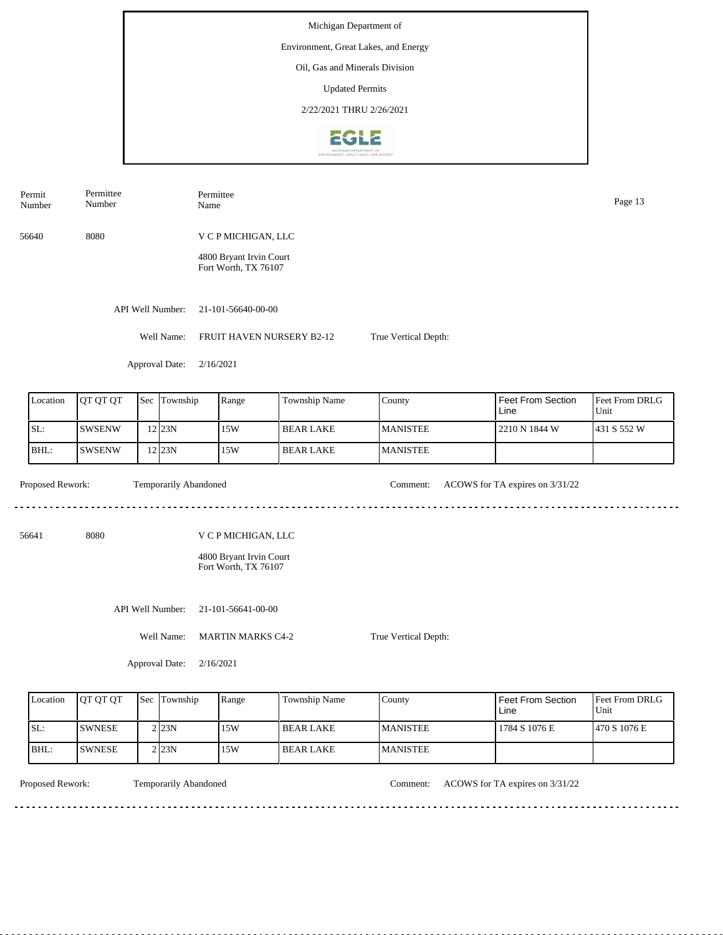| Permit<br>Number | Permittee<br>Number |              |                       | Permittee<br>Name                               |                                                                |                      |                                                                          | Page 13                                |
|------------------|---------------------|--------------|-----------------------|-------------------------------------------------|----------------------------------------------------------------|----------------------|--------------------------------------------------------------------------|----------------------------------------|
| 56640            | 8080                |              |                       | V C P MICHIGAN, LLC                             |                                                                |                      |                                                                          |                                        |
|                  |                     |              |                       | 4800 Bryant Irvin Court<br>Fort Worth, TX 76107 |                                                                |                      |                                                                          |                                        |
|                  |                     |              | API Well Number:      | 21-101-56640-00-00                              |                                                                |                      |                                                                          |                                        |
|                  |                     |              | Well Name:            |                                                 | FRUIT HAVEN NURSERY B2-12                                      | True Vertical Depth: |                                                                          |                                        |
|                  |                     |              | Approval Date:        | 2/16/2021                                       |                                                                |                      |                                                                          |                                        |
| Location         | QT QT QT            | Sec          | Township              | Range                                           | Township Name                                                  | County               | Feet From Section<br>Line                                                | Feet From DRLG<br>Unit                 |
| SL:              | <b>SWSENW</b>       |              | 12 23N                | 15W                                             | <b>BEAR LAKE</b>                                               | <b>MANISTEE</b>      | 2210 N 1844 W                                                            | 431 S 552 W                            |
| BHL:             | <b>SWSENW</b>       |              | 12 23N                | 15W                                             | <b>BEAR LAKE</b>                                               | <b>MANISTEE</b>      |                                                                          |                                        |
| Proposed Rework: |                     |              | Temporarily Abandoned |                                                 |                                                                | Comment:             | ACOWS for TA expires on 3/31/22                                          |                                        |
| 56641            | 8080                |              |                       | V C P MICHIGAN, LLC                             |                                                                |                      |                                                                          |                                        |
|                  |                     |              |                       | 4800 Bryant Irvin Court<br>Fort Worth, TX 76107 |                                                                |                      |                                                                          |                                        |
|                  |                     |              | API Well Number:      | 21-101-56641-00-00                              |                                                                |                      |                                                                          |                                        |
|                  |                     |              | Well Name:            | <b>MARTIN MARKS C4-2</b>                        |                                                                | True Vertical Depth: |                                                                          |                                        |
|                  |                     |              | Approval Date:        | 2/16/2021                                       |                                                                |                      |                                                                          |                                        |
|                  | $\sqrt{2}$          | $\mathbf{L}$ | $\sim$ $\sim$ $\sim$  | $\mathbf{L}$                                    | $\mathbf{L}$<br>$\mathbf{r}$ and $\mathbf{r}$ and $\mathbf{r}$ | $\mathsf{L}$         | $\mathbf{I} = \mathbf{I} \cdot \mathbf{I} = \mathbf{I} \cdot \mathbf{I}$ | $\mathbf{r}$ $\mathbf{r}$ $\mathbf{r}$ |

| Location | <b>OT OT OT</b> | <b>Sec Township</b> | Range | Township Name | County          | Feet From Section<br>Line | Feet From DRLG<br>Unit |
|----------|-----------------|---------------------|-------|---------------|-----------------|---------------------------|------------------------|
| ISL:     | <b>SWNESE</b>   | $2$ <sub>23N</sub>  | 15W   | I BEAR LAKE   | <b>MANISTEE</b> | 1784 S 1076 E             | 1470 S 1076 E          |
| IBHL:    | <b>ISWNESE</b>  | $2$ <sub>23N</sub>  | 15W   | l BEAR LAKE   | <b>MANISTEE</b> |                           |                        |

<u>. . . . . . . .</u>

Temporarily Abandoned

Proposed Rework: Temporarily Abandoned Comment: ACOWS for TA expires on  $3/31/22$ 

<u>. . . . . . . . . . . . . . . . . .</u>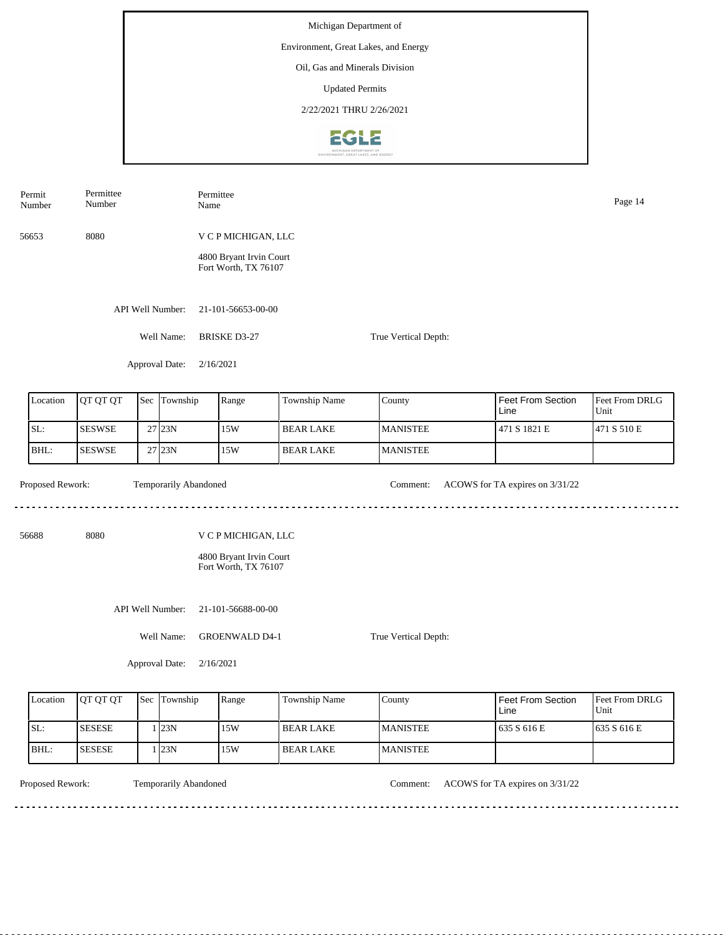| Permit<br>Number | Permittee<br>Number |                       | Permittee<br>Name                                                      |                                               |                 |                                 |                        |  |  |  |
|------------------|---------------------|-----------------------|------------------------------------------------------------------------|-----------------------------------------------|-----------------|---------------------------------|------------------------|--|--|--|
| 56653            | 8080                |                       | V C P MICHIGAN, LLC<br>4800 Bryant Irvin Court<br>Fort Worth, TX 76107 |                                               |                 |                                 |                        |  |  |  |
|                  |                     | API Well Number:      | 21-101-56653-00-00                                                     |                                               |                 |                                 |                        |  |  |  |
|                  |                     | Well Name:            | <b>BRISKE D3-27</b><br>True Vertical Depth:                            |                                               |                 |                                 |                        |  |  |  |
|                  |                     | Approval Date:        | 2/16/2021                                                              |                                               |                 |                                 |                        |  |  |  |
| Location         | QT QT QT            | Sec Township          | Range                                                                  | Township Name                                 | County          | Feet From Section<br>Line       | Feet From DRLG<br>Unit |  |  |  |
| SL:              | <b>SESWSE</b>       | $27$ 23N              | 15W                                                                    | <b>BEAR LAKE</b>                              | <b>MANISTEE</b> | 471 S 1821 E                    | 471 S 510 E            |  |  |  |
| BHL:             | <b>SESWSE</b>       | 27 23N                | 15W                                                                    | <b>BEAR LAKE</b>                              | <b>MANISTEE</b> |                                 |                        |  |  |  |
| Proposed Rework: |                     | Temporarily Abandoned |                                                                        |                                               | Comment:        | ACOWS for TA expires on 3/31/22 |                        |  |  |  |
| 56688            | 8080                |                       | V C P MICHIGAN, LLC<br>4800 Bryant Irvin Court<br>Fort Worth, TX 76107 |                                               |                 |                                 |                        |  |  |  |
|                  |                     | API Well Number:      | 21-101-56688-00-00                                                     |                                               |                 |                                 |                        |  |  |  |
|                  |                     | Well Name:            |                                                                        | <b>GROENWALD D4-1</b><br>True Vertical Depth: |                 |                                 |                        |  |  |  |
|                  |                     | Approval Date:        | 2/16/2021                                                              |                                               |                 |                                 |                        |  |  |  |

| Location | <b>OT OT OT</b> | Sec Township | Range | <b>Township Name</b> | County           | <b>Feet From Section</b><br>Line | <b>Feet From DRLG</b><br>Unit |
|----------|-----------------|--------------|-------|----------------------|------------------|----------------------------------|-------------------------------|
| SL:      | <b>SESESE</b>   | . 123N       | 15W   | I BEAR LAKE          | <b>IMANISTEE</b> | 635 S 616 E                      | 1635 S 616 E                  |
| BHL:     | <b>SESESE</b>   | 123N         | 15W   | I BEAR LAKE          | <b>MANISTEE</b>  |                                  |                               |

Temporarily Abandoned

Proposed Rework: Temporarily Abandoned Comment: ACOWS for TA expires on  $3/31/22$ 

. . . . . . . . . . . . . . . . . . .

<u> - - - - - - - - - -</u>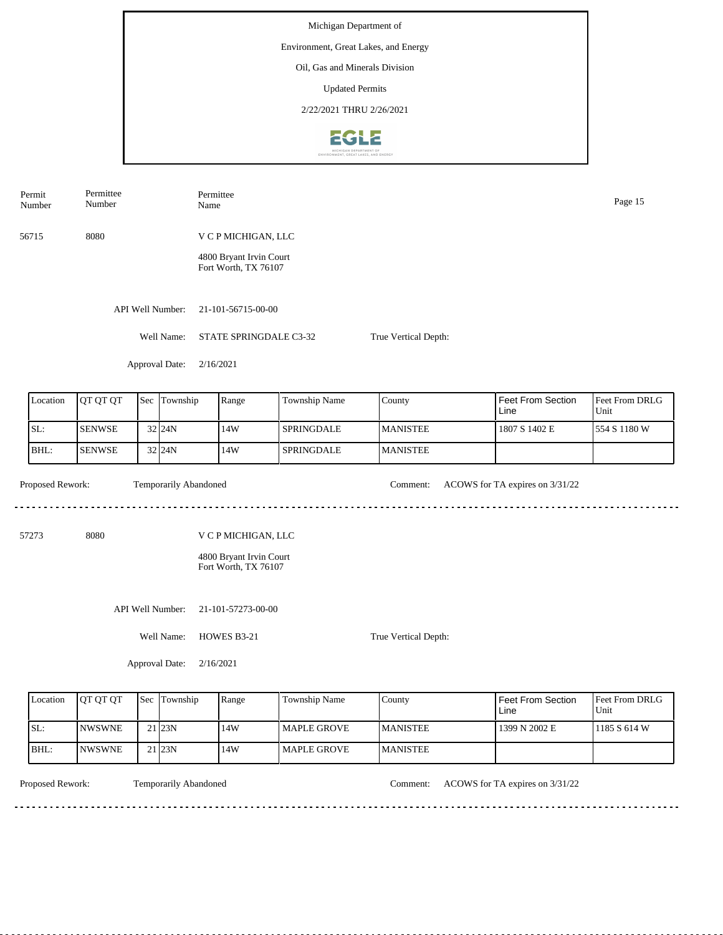| Permit<br>Number                     | Permittee<br>Number |  |                       | Name                                           | Permittee                                                              |               |                 |                                  |                        |  |  |  |
|--------------------------------------|---------------------|--|-----------------------|------------------------------------------------|------------------------------------------------------------------------|---------------|-----------------|----------------------------------|------------------------|--|--|--|
| 56715                                | 8080                |  |                       |                                                | V C P MICHIGAN, LLC<br>4800 Bryant Irvin Court<br>Fort Worth, TX 76107 |               |                 |                                  |                        |  |  |  |
|                                      |                     |  | API Well Number:      |                                                | 21-101-56715-00-00                                                     |               |                 |                                  |                        |  |  |  |
|                                      |                     |  | Well Name:            |                                                | STATE SPRINGDALE C3-32<br>True Vertical Depth:                         |               |                 |                                  |                        |  |  |  |
|                                      |                     |  | Approval Date:        |                                                | 2/16/2021                                                              |               |                 |                                  |                        |  |  |  |
| Sec Township<br>Location<br>QT QT QT |                     |  |                       |                                                | Range                                                                  | Township Name | County          | <b>Feet From Section</b><br>Line | Feet From DRLG<br>Unit |  |  |  |
| SL:                                  | <b>SENWSE</b>       |  | 32 24N                |                                                | 14W                                                                    | SPRINGDALE    | <b>MANISTEE</b> | 1807 S 1402 E                    | 554 S 1180 W           |  |  |  |
| BHL:                                 | <b>SENWSE</b>       |  | 32 24N                |                                                | 14W                                                                    | SPRINGDALE    | <b>MANISTEE</b> |                                  |                        |  |  |  |
| Proposed Rework:                     |                     |  | Temporarily Abandoned |                                                |                                                                        |               | Comment:        | ACOWS for TA expires on 3/31/22  |                        |  |  |  |
| 57273                                | 8080                |  |                       | V C P MICHIGAN, LLC<br>4800 Bryant Irvin Court |                                                                        |               |                 |                                  |                        |  |  |  |
|                                      |                     |  |                       |                                                | Fort Worth, TX 76107                                                   |               |                 |                                  |                        |  |  |  |
|                                      |                     |  | API Well Number:      |                                                | 21-101-57273-00-00                                                     |               |                 |                                  |                        |  |  |  |
|                                      |                     |  | Well Name:            | HOWES B3-21<br>True Vertical Depth:            |                                                                        |               |                 |                                  |                        |  |  |  |
|                                      |                     |  | Approval Date:        | 2/16/2021                                      |                                                                        |               |                 |                                  |                        |  |  |  |

| Location | IOT OT OT     | Sec | Township            | Range | Township Name       | County           | Feet From Section<br>Line | <b>Feet From DRLG</b><br>Unit |
|----------|---------------|-----|---------------------|-------|---------------------|------------------|---------------------------|-------------------------------|
| SL:      | <b>NWSWNE</b> |     | 21 <sub>123N</sub>  | 14W   | <b>IMAPLE GROVE</b> | <b>IMANISTEE</b> | 1399 N 2002 E             | 1185 S 614 W                  |
| IBHL:    | <b>NWSWNE</b> |     | $21$ <sub>23N</sub> | 14W   | l MAPLE GROVE       | <b>MANISTEE</b>  |                           |                               |

<u>. . . . . . . . .</u>

Temporarily Abandoned

Proposed Rework: Temporarily Abandoned Comment: ACOWS for TA expires on 3/31/22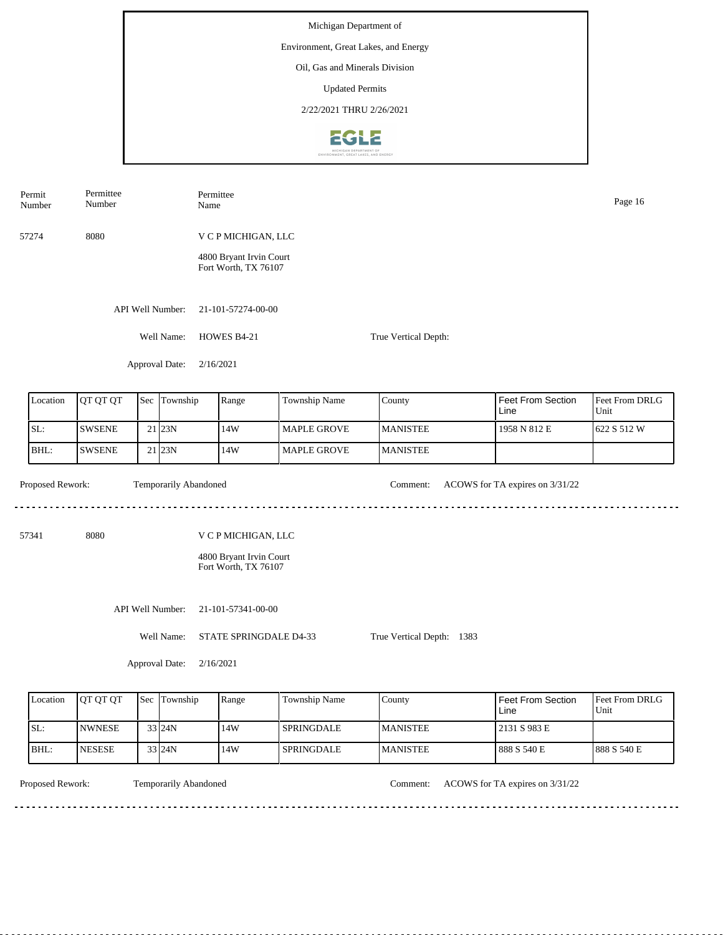Permit Permittee Permittee Number Name Page 16 Number 57274 8080 V C P MICHIGAN, LLC 4800 Bryant Irvin Court Fort Worth, TX 76107 API Well Number: 21-101-57274-00-00 Well Name: HOWES B4-21 True Vertical Depth: Approval Date: 2/16/2021 Feet From Section County Location | QT QT QT | Sec | Township | Range | Township Name Sec Township Feet From DRLG Line Unit SL: SWSENE 14W MAPLE GROVE MANISTEE 1958 N 812 E 622 S 512 W 21 23N BHL: 23N 14W SWSENE 21 MAPLE GROVE MANISTEE Proposed Rework: Temporarily Abandoned Comment: ACOWS for TA expires on  $3/31/22$ Temporarily Abandoned <u>. . . . . . .</u> <u>. . . . . . . . . . . . . . . . . . .</u> 57341 8080 V C P MICHIGAN, LLC 4800 Bryant Irvin Court Fort Worth, TX 76107 API Well Number: 21-101-57341-00-00 Well Name: STATE SPRINGDALE D4-33 True Vertical Depth: 1383 Approval Date: 2/16/2021

| Location | <b>OT OT OT</b> | Sec Township | Range | Township Name | County           | Feet From Section<br>Line | <b>Feet From DRLG</b><br>Unit |
|----------|-----------------|--------------|-------|---------------|------------------|---------------------------|-------------------------------|
| ISL:     | <b>INWNESE</b>  | $33$ 24N     | 14W   | I SPRINGDALE. | <b>IMANISTEE</b> | 2131 S 983 E              |                               |
| BHL:     | <b>NESESE</b>   | $33$ 24N     | 14W   | I SPRINGDALE  | <b>MANISTEE</b>  | 888 S 540 E               | 1888 S 540 E                  |

<u>. . . . . . . .</u>

Temporarily Abandoned

Proposed Rework: Temporarily Abandoned Comment: ACOWS for TA expires on  $3/31/22$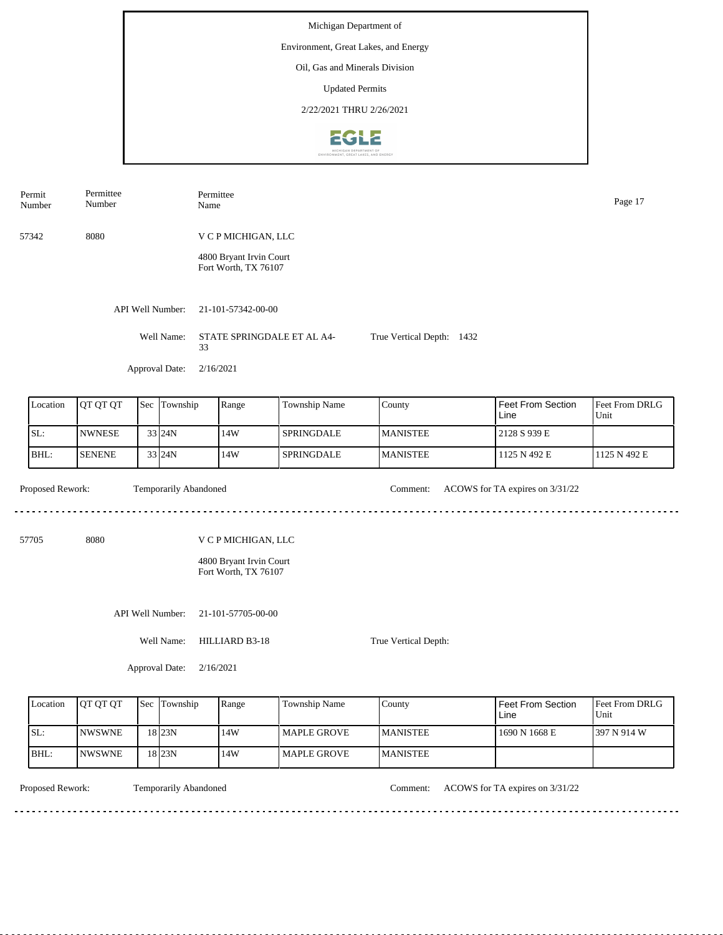| Permit<br>Number | Permittee<br>Number |     |                       | Name      | Permittee                                               |               |                 |                                 |                        |  |  |  |
|------------------|---------------------|-----|-----------------------|-----------|---------------------------------------------------------|---------------|-----------------|---------------------------------|------------------------|--|--|--|
| 57342            | 8080                |     |                       |           | V C P MICHIGAN, LLC                                     |               |                 |                                 |                        |  |  |  |
|                  |                     |     |                       |           | 4800 Bryant Irvin Court<br>Fort Worth, TX 76107         |               |                 |                                 |                        |  |  |  |
|                  |                     |     | API Well Number:      |           | 21-101-57342-00-00                                      |               |                 |                                 |                        |  |  |  |
|                  |                     |     | Well Name:            | 33        | STATE SPRINGDALE ET AL A4-<br>True Vertical Depth: 1432 |               |                 |                                 |                        |  |  |  |
|                  |                     |     | Approval Date:        |           | 2/16/2021                                               |               |                 |                                 |                        |  |  |  |
| Location         | QT QT QT            | Sec | Township              |           | Range                                                   | Township Name | County          | Feet From Section<br>Line       | Feet From DRLG<br>Unit |  |  |  |
| SL:              | <b>NWNESE</b>       |     | 33 24N                |           | 14W                                                     | SPRINGDALE    | <b>MANISTEE</b> | 2128 S 939 E                    |                        |  |  |  |
| BHL:             | <b>SENENE</b>       |     | 33 24N                |           | 14W                                                     | SPRINGDALE    | <b>MANISTEE</b> | 1125 N 492 E                    | 1125 N 492 E           |  |  |  |
| Proposed Rework: |                     |     | Temporarily Abandoned |           |                                                         | $\frac{1}{2}$ | Comment:        | ACOWS for TA expires on 3/31/22 |                        |  |  |  |
| 57705            | 8080                |     |                       |           | V C P MICHIGAN, LLC                                     |               |                 |                                 |                        |  |  |  |
|                  |                     |     |                       |           | 4800 Bryant Irvin Court<br>Fort Worth, TX 76107         |               |                 |                                 |                        |  |  |  |
| API Well Number: |                     |     |                       |           | 21-101-57705-00-00                                      |               |                 |                                 |                        |  |  |  |
|                  |                     |     | Well Name:            |           | HILLIARD B3-18<br>True Vertical Depth:                  |               |                 |                                 |                        |  |  |  |
|                  |                     |     | Approval Date:        | 2/16/2021 |                                                         |               |                 |                                 |                        |  |  |  |

| Location | <b>OT OT OT</b> | <b>Sec</b> | Township | Range | <b>Township Name</b> | County           | l Feet From Section<br>Line | <b>I</b> Feet From DRLG<br>Unit |
|----------|-----------------|------------|----------|-------|----------------------|------------------|-----------------------------|---------------------------------|
| SL:      | <b>INWSWNE</b>  |            | 18 23N   | 14W   | l MAPLE GROVE        | <b>IMANISTEE</b> | 1690 N 1668 E               | 1397 N 914 W                    |
| BHL:     | <b>INWSWNE</b>  |            | 18 23N   | 14W   | l MAPLE GROVE        | <b>IMANISTEE</b> |                             |                                 |

Temporarily Abandoned

Proposed Rework: Temporarily Abandoned Comment: ACOWS for TA expires on  $3/31/22$ 

<u>. . . . . . . . . . . . . . .</u>

<u>. . . . . . . . . .</u>

. . . . . . . . . . . . . . . . .  $2.2.2.2.2.2$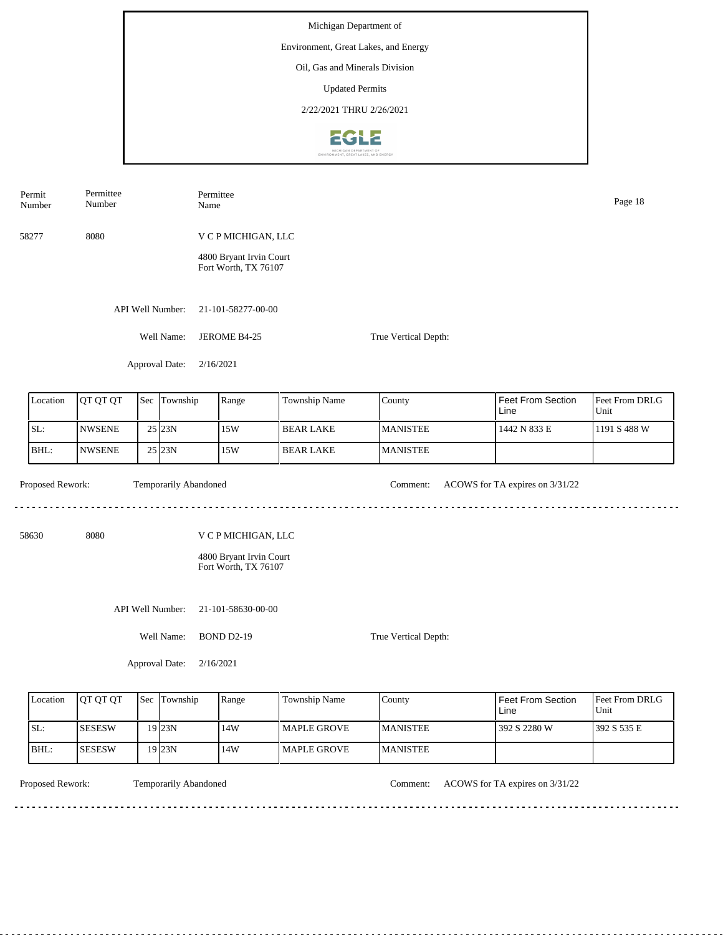| Permit<br>Number | Permittee<br>Number |     |                       | Name                                            | Permittee<br>Page 18                            |                  |                 |                                 |                        |  |  |
|------------------|---------------------|-----|-----------------------|-------------------------------------------------|-------------------------------------------------|------------------|-----------------|---------------------------------|------------------------|--|--|
| 58277            | 8080                |     |                       |                                                 | V C P MICHIGAN, LLC                             |                  |                 |                                 |                        |  |  |
|                  |                     |     |                       |                                                 | 4800 Bryant Irvin Court<br>Fort Worth, TX 76107 |                  |                 |                                 |                        |  |  |
|                  |                     |     | API Well Number:      |                                                 | 21-101-58277-00-00                              |                  |                 |                                 |                        |  |  |
|                  |                     |     | Well Name:            | JEROME B4-25<br>True Vertical Depth:            |                                                 |                  |                 |                                 |                        |  |  |
|                  |                     |     | Approval Date:        | 2/16/2021                                       |                                                 |                  |                 |                                 |                        |  |  |
| Location         | QT QT QT            | Sec | Township              |                                                 | Range                                           | Township Name    | County          | Feet From Section<br>Line       | Feet From DRLG<br>Unit |  |  |
| SL:              | <b>NWSENE</b>       |     | 25 23N                |                                                 | 15W                                             | <b>BEAR LAKE</b> | <b>MANISTEE</b> | 1442 N 833 E                    | 1191 S 488 W           |  |  |
| BHL:             | <b>NWSENE</b>       |     | 25 23N                |                                                 | 15W                                             | <b>BEAR LAKE</b> | <b>MANISTEE</b> |                                 |                        |  |  |
| Proposed Rework: |                     |     | Temporarily Abandoned |                                                 |                                                 |                  | Comment:        | ACOWS for TA expires on 3/31/22 |                        |  |  |
| 58630            | 8080                |     |                       |                                                 | V C P MICHIGAN, LLC                             |                  |                 |                                 |                        |  |  |
|                  |                     |     |                       | 4800 Bryant Irvin Court<br>Fort Worth, TX 76107 |                                                 |                  |                 |                                 |                        |  |  |
| API Well Number: |                     |     |                       |                                                 | 21-101-58630-00-00                              |                  |                 |                                 |                        |  |  |
| Well Name:       |                     |     |                       |                                                 | <b>BOND D2-19</b><br>True Vertical Depth:       |                  |                 |                                 |                        |  |  |
|                  |                     |     | Approval Date:        | 2/16/2021                                       |                                                 |                  |                 |                                 |                        |  |  |

| Location | <b>OT OT OT</b> | <b>Sec Township</b> | Range | <b>Township Name</b> | County           | Feet From Section<br>Line | <b>Feet From DRLG</b><br>Unit |
|----------|-----------------|---------------------|-------|----------------------|------------------|---------------------------|-------------------------------|
| SL:      | <b>SESESW</b>   | 19 <sub>123N</sub>  | 14W   | <b>I MAPLE GROVE</b> | <b>IMANISTEE</b> | 392 S 2280 W              | 392 S 535 E                   |
| IBHL:    | <b>SESESW</b>   | 19123N              | 14W   | l MAPLE GROVE        | <b>MANISTEE</b>  |                           |                               |

Temporarily Abandoned

Proposed Rework: Temporarily Abandoned Comment: ACOWS for TA expires on  $3/31/22$ 

<u>. . . . . . . . .</u>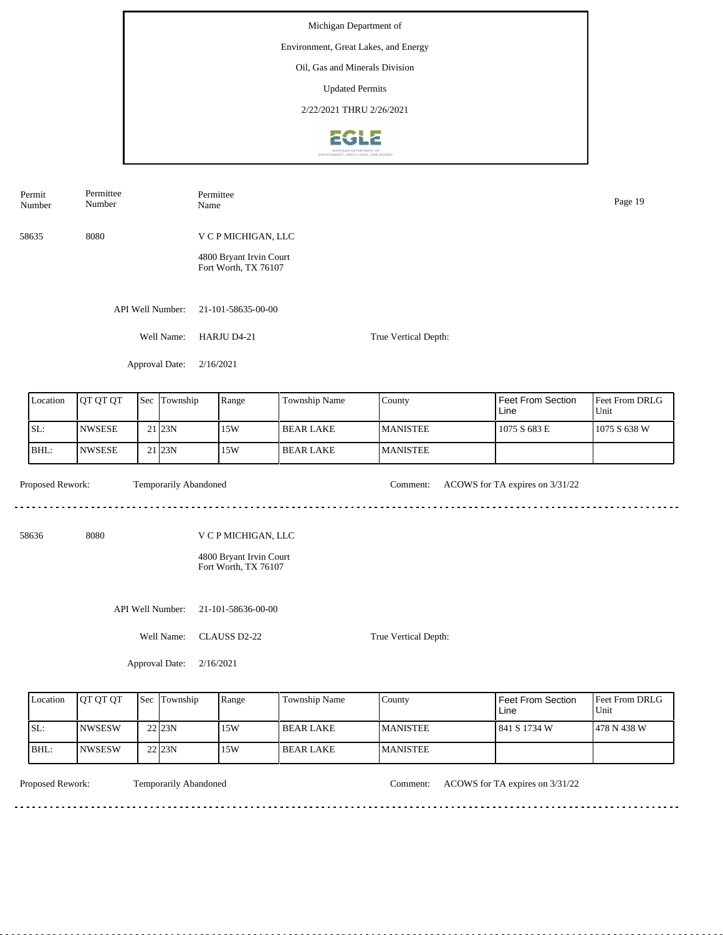| Permit<br>Number                        | Permittee<br>Number |  | Permittee<br>Name     |                                                 |                  |                      |                                 | Page 19                |  |  |
|-----------------------------------------|---------------------|--|-----------------------|-------------------------------------------------|------------------|----------------------|---------------------------------|------------------------|--|--|
| 58635                                   | 8080                |  |                       | V C P MICHIGAN, LLC                             |                  |                      |                                 |                        |  |  |
|                                         |                     |  |                       | 4800 Bryant Irvin Court<br>Fort Worth, TX 76107 |                  |                      |                                 |                        |  |  |
|                                         |                     |  | API Well Number:      | 21-101-58635-00-00                              |                  |                      |                                 |                        |  |  |
|                                         |                     |  | Well Name:            | HARJU D4-21                                     |                  | True Vertical Depth: |                                 |                        |  |  |
|                                         |                     |  | Approval Date:        | 2/16/2021                                       |                  |                      |                                 |                        |  |  |
| QT QT QT<br>Location<br>Township<br>Sec |                     |  |                       | Range                                           | Township Name    | County               | Feet From Section<br>Line       | Feet From DRLG<br>Unit |  |  |
| SL:                                     | <b>NWSESE</b>       |  | 21 23N                | 15W                                             | <b>BEAR LAKE</b> | <b>MANISTEE</b>      | 1075 S 683 E                    | 1075 S 638 W           |  |  |
| BHL:                                    | <b>NWSESE</b>       |  | 21 23N                | 15W                                             | <b>BEAR LAKE</b> | <b>MANISTEE</b>      |                                 |                        |  |  |
| Proposed Rework:                        |                     |  | Temporarily Abandoned |                                                 |                  | Comment:             | ACOWS for TA expires on 3/31/22 |                        |  |  |
| 58636                                   | 8080                |  |                       | V C P MICHIGAN, LLC                             |                  |                      |                                 |                        |  |  |
|                                         |                     |  |                       | 4800 Bryant Irvin Court<br>Fort Worth, TX 76107 |                  |                      |                                 |                        |  |  |
|                                         |                     |  | API Well Number:      | 21-101-58636-00-00                              |                  |                      |                                 |                        |  |  |
|                                         |                     |  | Well Name:            | CLAUSS D2-22<br>True Vertical Depth:            |                  |                      |                                 |                        |  |  |
|                                         |                     |  | Approval Date:        | 2/16/2021                                       |                  |                      |                                 |                        |  |  |

| Location | <b>OT OT OT</b> | <b>Sec</b> | Township | Range | <b>Township Name</b> | County          | Feet From Section<br>Line | <b>Feet From DRLG</b><br>Unit |
|----------|-----------------|------------|----------|-------|----------------------|-----------------|---------------------------|-------------------------------|
| SL:      | INWSESW         |            | 22 23N   | 15W   | l BEAR LAKE          | <b>MANISTEE</b> | 1841 S 1734 W             | 1478 N 438 W                  |
| BHL:     | <b>NWSESW</b>   |            | 22 23N   | 15W   | BEAR LAKE            | <b>MANISTEE</b> |                           |                               |

<u>. . . . . . . . . .</u>

Temporarily Abandoned

Proposed Rework: Temporarily Abandoned Comment: ACOWS for TA expires on 3/31/22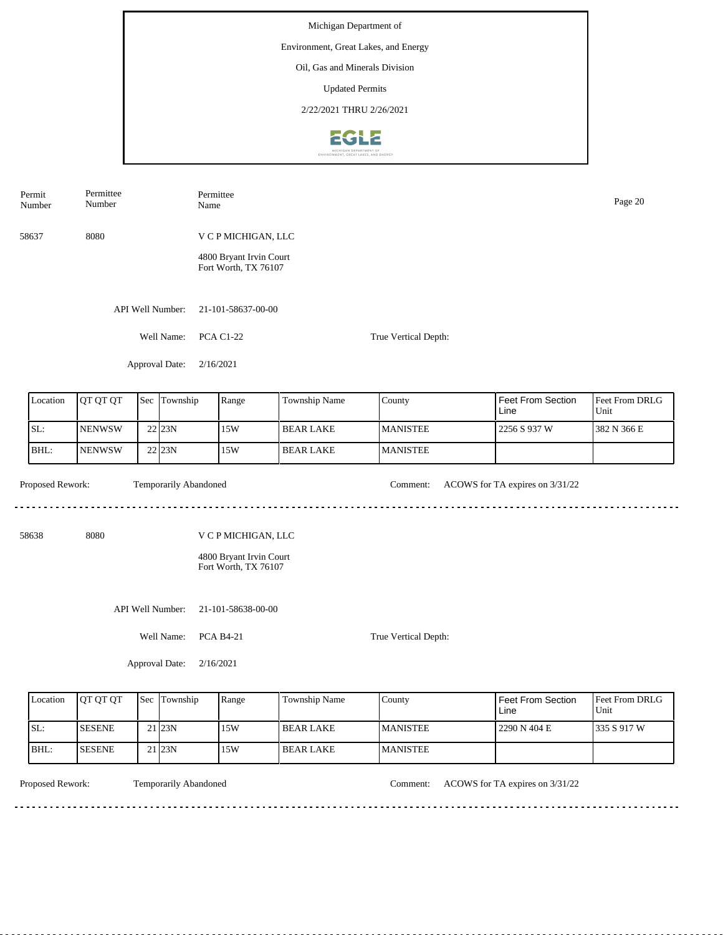Number Name Page 20 Number 58637 8080 V C P MICHIGAN, LLC 4800 Bryant Irvin Court Fort Worth, TX 76107 API Well Number: 21-101-58637-00-00 Well Name: PCA C1-22 True Vertical Depth: Approval Date: 2/16/2021 Feet From Section Location | QT QT QT | Sec | Township | Range | Township Name Sec Township County Feet From DRLG Unit Line SL: NENWSW 15W BEAR LAKE MANISTEE 2256 S 937 W 382 N 366 E 22 23N BHL: **NENWSW** 22 23N 15W BEAR LAKE MANISTEE Proposed Rework: Temporarily Abandoned Comment: ACOWS for TA expires on  $3/31/22$ Temporarily Abandoned <u>. . . . . . .</u> . . . . . . . . . . . . . . . . . . . . 58638 8080 V C P MICHIGAN, LLC 4800 Bryant Irvin Court Fort Worth, TX 76107 API Well Number: 21-101-58638-00-00 Well Name: PCA B4-21 True Vertical Depth: Approval Date: 2/16/2021

| Location | <b>OT OT OT</b> | Sec Township       | Range | Township Name    | County          | <b>Feet From Section</b><br>Line | <b>Feet From DRLG</b><br>Unit |
|----------|-----------------|--------------------|-------|------------------|-----------------|----------------------------------|-------------------------------|
| ISL:     | <b>ISESENE</b>  | 21 <sub>123N</sub> | .15W  | <b>BEAR LAKE</b> | <b>MANISTEE</b> | 2290 N 404 E                     | 1335 S 917 W                  |
| IBHL:    | <b>ISESENE</b>  | 21 <sub>123N</sub> | .15W  | <b>BEAR LAKE</b> | <b>MANISTEE</b> |                                  |                               |

<u>. . . . . . . .</u>

Permit

Permittee

Temporarily Abandoned

Proposed Rework: Temporarily Abandoned Comment: ACOWS for TA expires on  $3/31/22$ 

Permittee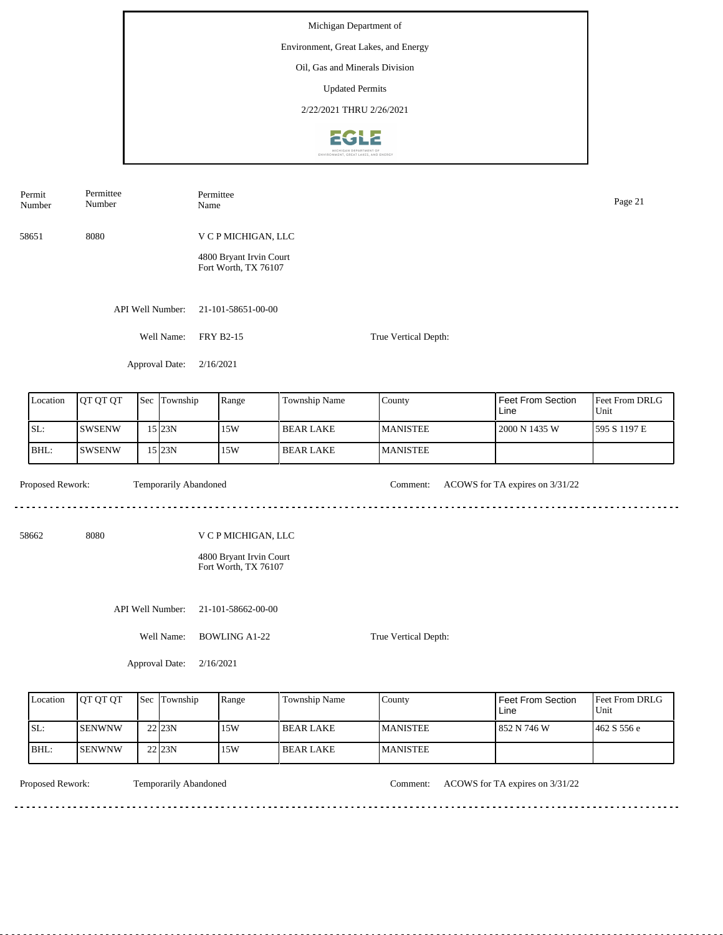| Permit<br>Number | Permittee<br>Number |     | Permittee<br>Name     |                                                 |                  |                      |                                 | Page 21                |  |
|------------------|---------------------|-----|-----------------------|-------------------------------------------------|------------------|----------------------|---------------------------------|------------------------|--|
| 58651            | 8080                |     |                       | V C P MICHIGAN, LLC                             |                  |                      |                                 |                        |  |
|                  |                     |     |                       | 4800 Bryant Irvin Court<br>Fort Worth, TX 76107 |                  |                      |                                 |                        |  |
|                  |                     |     | API Well Number:      | 21-101-58651-00-00                              |                  |                      |                                 |                        |  |
|                  |                     |     | Well Name:            | <b>FRY B2-15</b>                                |                  | True Vertical Depth: |                                 |                        |  |
|                  |                     |     | Approval Date:        | 2/16/2021                                       |                  |                      |                                 |                        |  |
| Location         | QT QT QT            | Sec | Township              | Range                                           | Township Name    | County               | Feet From Section<br>Line       | Feet From DRLG<br>Unit |  |
| SL:              | SWSENW              |     | $15$ 23N              | 15W                                             | <b>BEAR LAKE</b> | <b>MANISTEE</b>      | 2000 N 1435 W                   | 595 S 1197 E           |  |
| BHL:             | <b>SWSENW</b>       |     | 15 23N                | 15W                                             | <b>BEAR LAKE</b> | <b>MANISTEE</b>      |                                 |                        |  |
| Proposed Rework: |                     |     | Temporarily Abandoned |                                                 |                  | Comment:             | ACOWS for TA expires on 3/31/22 |                        |  |
| 58662            | 8080                |     |                       | V C P MICHIGAN, LLC                             |                  |                      |                                 |                        |  |
|                  |                     |     |                       | 4800 Bryant Irvin Court<br>Fort Worth, TX 76107 |                  |                      |                                 |                        |  |
|                  |                     |     | API Well Number:      | 21-101-58662-00-00                              |                  |                      |                                 |                        |  |
|                  |                     |     | Well Name:            | <b>BOWLING A1-22</b><br>True Vertical Depth:    |                  |                      |                                 |                        |  |
|                  |                     |     | Approval Date:        | 2/16/2021                                       |                  |                      |                                 |                        |  |

| Location | <b>OT OT OT</b> | <b>Sec</b> | Township | Range | <b>Township Name</b> | County          | <b>Feet From Section</b><br>Line | <b>Feet From DRLG</b><br>Unit |
|----------|-----------------|------------|----------|-------|----------------------|-----------------|----------------------------------|-------------------------------|
| SL:      | <b>SENWNW</b>   |            | 22 23N   | 15W   | l BEAR LAKE          | <b>MANISTEE</b> | 1852 N 746 W                     | 1462 S 556 e                  |
| BHL:     | <b>SENWNW</b>   |            | 22 23N   | 15W   | BEAR LAKE            | <b>MANISTEE</b> |                                  |                               |

<u>. . . . . . . . . . .</u>

Temporarily Abandoned

Proposed Rework: Temporarily Abandoned Comment: ACOWS for TA expires on 3/31/22

<u>. . . . . . . . . . . . . . . . . . .</u>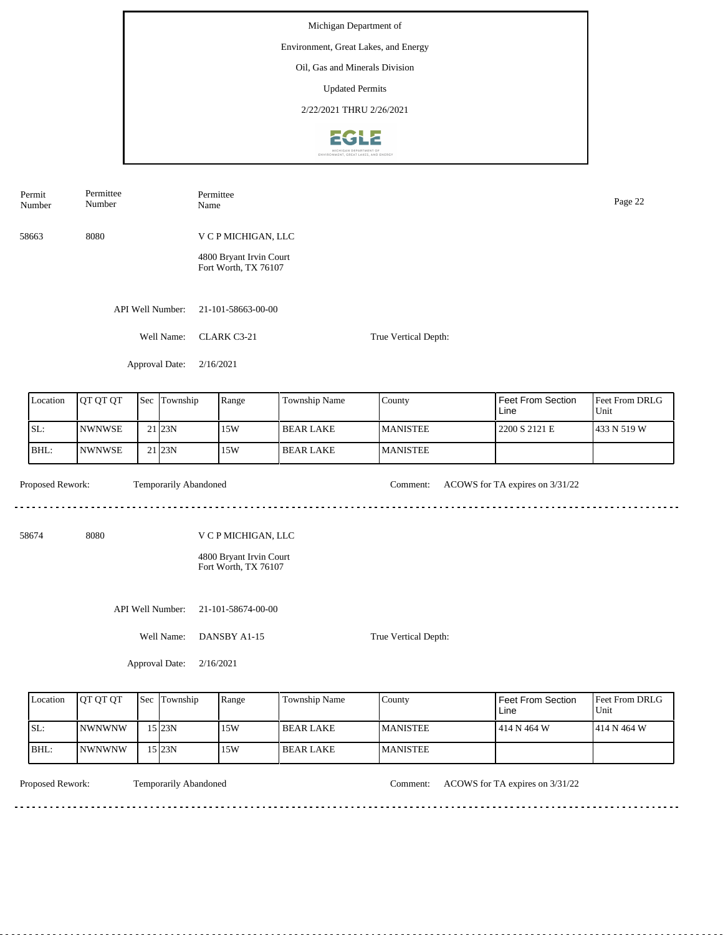|                                | Permit<br>Number | Permittee<br>Number |  |                       | Permittee<br>Name                                                      |                                                                        |                  |                      |                                 | Page 22                |  |
|--------------------------------|------------------|---------------------|--|-----------------------|------------------------------------------------------------------------|------------------------------------------------------------------------|------------------|----------------------|---------------------------------|------------------------|--|
|                                | 58663            | 8080                |  |                       |                                                                        | V C P MICHIGAN, LLC<br>4800 Bryant Irvin Court<br>Fort Worth, TX 76107 |                  |                      |                                 |                        |  |
|                                |                  |                     |  | API Well Number:      |                                                                        | 21-101-58663-00-00                                                     |                  |                      |                                 |                        |  |
|                                |                  |                     |  | Well Name:            |                                                                        | CLARK C3-21                                                            |                  | True Vertical Depth: |                                 |                        |  |
|                                |                  |                     |  | Approval Date:        | 2/16/2021                                                              |                                                                        |                  |                      |                                 |                        |  |
|                                | Location         | QT QT QT            |  | Sec Township          |                                                                        | Range                                                                  | Township Name    | County               | Feet From Section<br>Line       | Feet From DRLG<br>Unit |  |
|                                | SL:              | <b>NWNWSE</b>       |  | 21 23N                |                                                                        | 15W                                                                    | <b>BEAR LAKE</b> | <b>MANISTEE</b>      | 2200 S 2121 E                   | 433 N 519 W            |  |
|                                | BHL:             | <b>NWNWSE</b>       |  | 21 23N                |                                                                        | 15W                                                                    | <b>BEAR LAKE</b> | <b>MANISTEE</b>      |                                 |                        |  |
|                                | Proposed Rework: |                     |  | Temporarily Abandoned |                                                                        |                                                                        |                  | Comment:             | ACOWS for TA expires on 3/31/22 |                        |  |
| 8080<br>58674                  |                  |                     |  |                       | V C P MICHIGAN, LLC<br>4800 Bryant Irvin Court<br>Fort Worth, TX 76107 |                                                                        |                  |                      |                                 |                        |  |
| API Well Number:<br>Well Name: |                  |                     |  |                       | 21-101-58674-00-00<br>DANSBY A1-15<br>True Vertical Depth:             |                                                                        |                  |                      |                                 |                        |  |
| Approval Date:                 |                  |                     |  |                       | 2/16/2021                                                              |                                                                        |                  |                      |                                 |                        |  |

| Location | <b>OT OT OT</b> | 'Sec | Township | Range | <b>Township Name</b> | County           | Feet From Section<br>Line | <b>Feet From DRLG</b><br>Unit |
|----------|-----------------|------|----------|-------|----------------------|------------------|---------------------------|-------------------------------|
| SL:      | INWNWNW         |      | 15 23N   | 15W   | l BEAR LAKE          | <b>IMANISTEE</b> | l 414 N 464 W             | 414 N 464 W                   |
| BHL:     | INWNWNW         |      | 15 23N   | 15W   | BEAR LAKE            | <b>MANISTEE</b>  |                           |                               |

<u>. . . . . . . . .</u>

Temporarily Abandoned

Proposed Rework: Temporarily Abandoned Comment: ACOWS for TA expires on  $3/31/22$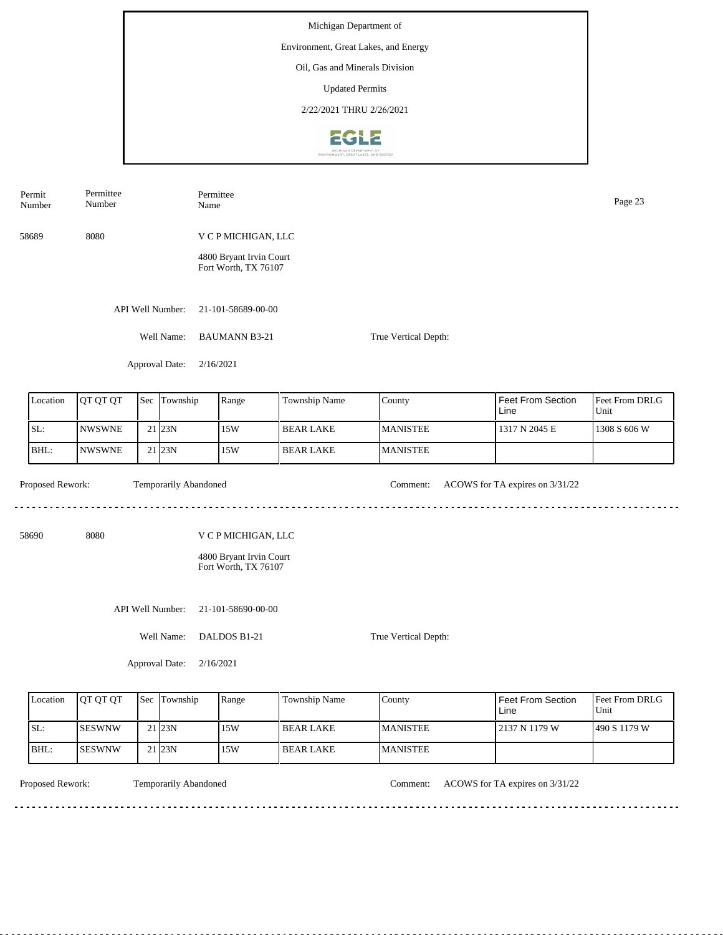|                | Permit<br>Number | Permittee<br>Number |  | Permittee<br>Name     |                                                 |                  |                      |                                 | Page 23                |  |
|----------------|------------------|---------------------|--|-----------------------|-------------------------------------------------|------------------|----------------------|---------------------------------|------------------------|--|
|                | 58689            | 8080                |  |                       | V C P MICHIGAN, LLC                             |                  |                      |                                 |                        |  |
|                |                  |                     |  |                       | 4800 Bryant Irvin Court<br>Fort Worth, TX 76107 |                  |                      |                                 |                        |  |
|                |                  |                     |  | API Well Number:      | 21-101-58689-00-00                              |                  |                      |                                 |                        |  |
|                |                  |                     |  | Well Name:            | <b>BAUMANN B3-21</b>                            |                  | True Vertical Depth: |                                 |                        |  |
|                |                  |                     |  | Approval Date:        | 2/16/2021                                       |                  |                      |                                 |                        |  |
|                | Location         | QT QT QT            |  | Sec Township          | Range                                           | Township Name    | County               | Feet From Section<br>Line       | Feet From DRLG<br>Unit |  |
|                | SL:              | <b>NWSWNE</b>       |  | 21 23N                | 15W                                             | <b>BEAR LAKE</b> | <b>MANISTEE</b>      | 1317 N 2045 E                   | 1308 S 606 W           |  |
|                | BHL:             | <b>NWSWNE</b>       |  | 21 23N                | 15W                                             | <b>BEAR LAKE</b> | <b>MANISTEE</b>      |                                 |                        |  |
|                | Proposed Rework: |                     |  | Temporarily Abandoned |                                                 |                  | Comment:             | ACOWS for TA expires on 3/31/22 |                        |  |
|                | 58690            | 8080                |  |                       | V C P MICHIGAN, LLC                             |                  |                      |                                 |                        |  |
|                |                  |                     |  |                       | 4800 Bryant Irvin Court<br>Fort Worth, TX 76107 |                  |                      |                                 |                        |  |
|                |                  |                     |  | API Well Number:      | 21-101-58690-00-00                              |                  |                      |                                 |                        |  |
|                |                  |                     |  | Well Name:            | DALDOS B1-21                                    |                  | True Vertical Depth: |                                 |                        |  |
| Approval Date: |                  |                     |  |                       | 2/16/2021                                       |                  |                      |                                 |                        |  |

| Location | <b>OT OT OT</b> | <b>Sec Township</b> | Range | Township Name     | County           | Feet From Section<br>Line | <b>Feet From DRLG</b><br>Unit |
|----------|-----------------|---------------------|-------|-------------------|------------------|---------------------------|-------------------------------|
| SL:      | <b>ISESWNW</b>  | $21$ <sub>23N</sub> | 15W   | <b>IBEAR LAKE</b> | <b>IMANISTEE</b> | 12137 N 1179 W            | 1490 S 1179 W                 |
| IBHL:    | <b>ISESWNW</b>  | 21 <sub>123N</sub>  | 15W   | l BEAR LAKE       | <b>MANISTEE</b>  |                           |                               |

<u>. . . . . . . . .</u>

Temporarily Abandoned

Proposed Rework: Temporarily Abandoned Comment: ACOWS for TA expires on 3/31/22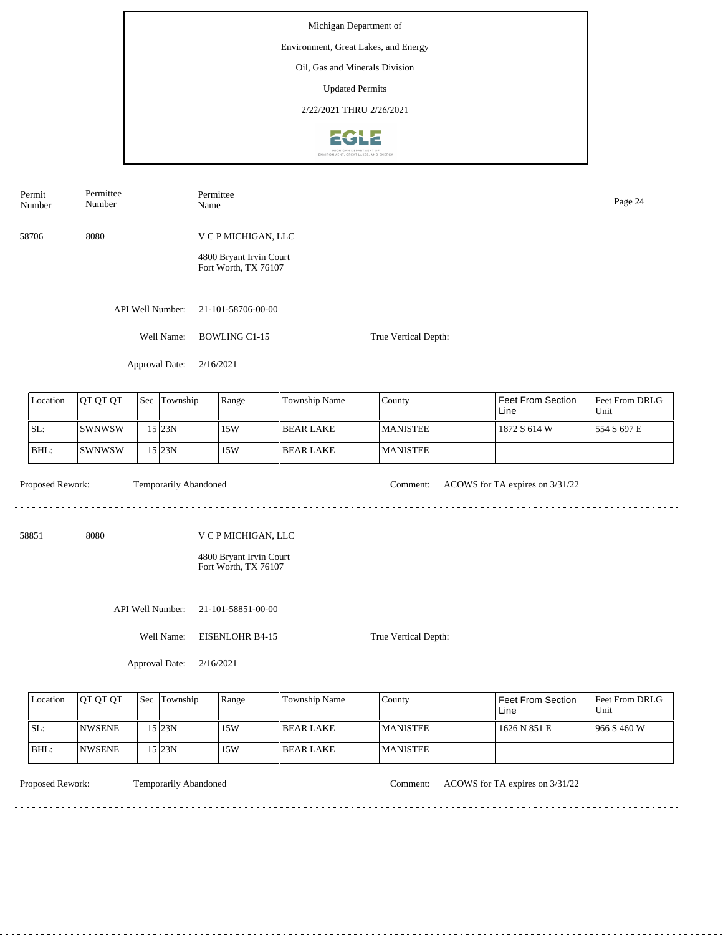| Permit<br>Number | Permittee<br>Number |                       | Permittee<br>Name                                                      |                  |                      |                                 | Page 24                |
|------------------|---------------------|-----------------------|------------------------------------------------------------------------|------------------|----------------------|---------------------------------|------------------------|
| 58706            | 8080                |                       | V C P MICHIGAN, LLC                                                    |                  |                      |                                 |                        |
|                  |                     |                       | 4800 Bryant Irvin Court<br>Fort Worth, TX 76107                        |                  |                      |                                 |                        |
|                  |                     | API Well Number:      | 21-101-58706-00-00                                                     |                  |                      |                                 |                        |
|                  |                     | Well Name:            | <b>BOWLING C1-15</b>                                                   |                  | True Vertical Depth: |                                 |                        |
|                  |                     | Approval Date:        | 2/16/2021                                                              |                  |                      |                                 |                        |
| Location         | QT QT QT            | Sec Township          | Range                                                                  | Township Name    | County               | Feet From Section<br>Line       | Feet From DRLG<br>Unit |
| SL:              | SWNWSW              | $15$ 23N              | 15W                                                                    | <b>BEAR LAKE</b> | <b>MANISTEE</b>      | 1872 S 614 W                    | 554 S 697 E            |
| BHL:             | <b>SWNWSW</b>       | $15$ 23N              | 15W                                                                    | <b>BEAR LAKE</b> | <b>MANISTEE</b>      |                                 |                        |
| Proposed Rework: |                     | Temporarily Abandoned |                                                                        |                  | Comment:             | ACOWS for TA expires on 3/31/22 |                        |
| 58851            | 8080                |                       | V C P MICHIGAN, LLC<br>4800 Bryant Irvin Court<br>Fort Worth, TX 76107 |                  |                      |                                 |                        |
|                  |                     | API Well Number:      | 21-101-58851-00-00                                                     |                  |                      |                                 |                        |
|                  |                     | Well Name:            | <b>EISENLOHR B4-15</b>                                                 |                  | True Vertical Depth: |                                 |                        |
|                  |                     | Approval Date:        | 2/16/2021                                                              |                  |                      |                                 |                        |

| Location | <b>IOT OT OT</b> | Sec Township | Range | <b>Township Name</b> | County          | <b>Feet From Section</b><br>Line | <b>Feet From DRLG</b><br>Unit |
|----------|------------------|--------------|-------|----------------------|-----------------|----------------------------------|-------------------------------|
| SL:      | <b>INWSENE</b>   | 5123N        | 15W   | <b>IBEAR LAKE</b>    | <b>MANISTEE</b> | 1626 N 851 E                     | 1966 S 460 W                  |
| BHL:     | <b>INWSENE</b>   | 5123N        | 15W   | l BEAR LAKE          | <b>MANISTEE</b> |                                  |                               |

<u>. . . . . . . . . . . . . . . .</u>

Temporarily Abandoned

Proposed Rework: Temporarily Abandoned Comment: ACOWS for TA expires on 3/31/22

<u>. . . . . . . . . . . . . . . . .</u>

<u>. . . . . . . .</u>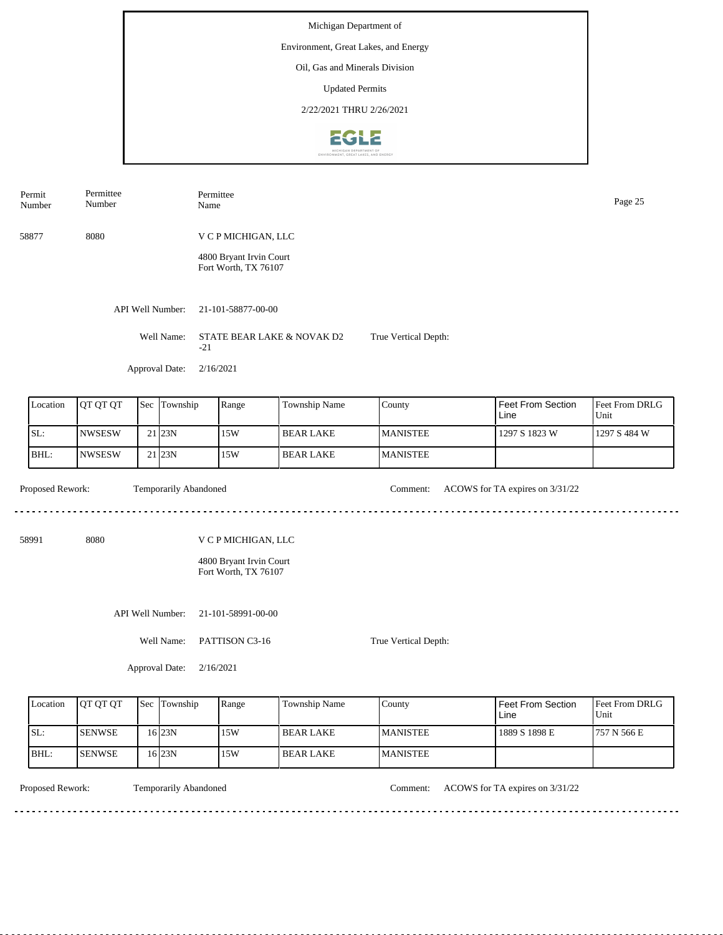| Permit<br>Number                     | Permittee<br>Number |  |                       | Permittee<br>Name |                                                    |                  |                      |                                 | Page 25                |  |  |  |
|--------------------------------------|---------------------|--|-----------------------|-------------------|----------------------------------------------------|------------------|----------------------|---------------------------------|------------------------|--|--|--|
| 58877                                | 8080                |  |                       |                   | V C P MICHIGAN, LLC                                |                  |                      |                                 |                        |  |  |  |
|                                      |                     |  |                       |                   | 4800 Bryant Irvin Court<br>Fort Worth, TX 76107    |                  |                      |                                 |                        |  |  |  |
|                                      |                     |  | API Well Number:      |                   | 21-101-58877-00-00                                 |                  |                      |                                 |                        |  |  |  |
|                                      |                     |  | Well Name:            | $-21$             | STATE BEAR LAKE & NOVAK D2<br>True Vertical Depth: |                  |                      |                                 |                        |  |  |  |
|                                      |                     |  | Approval Date:        |                   | 2/16/2021                                          |                  |                      |                                 |                        |  |  |  |
| Location<br>QT QT QT<br>Sec Township |                     |  |                       |                   | Range                                              | Township Name    | County               | Feet From Section<br>Line       | Feet From DRLG<br>Unit |  |  |  |
| SL:                                  | <b>NWSESW</b>       |  | 21 23N                |                   | 15W                                                | <b>BEAR LAKE</b> | <b>MANISTEE</b>      | 1297 S 1823 W                   | 1297 S 484 W           |  |  |  |
| BHL:                                 | <b>NWSESW</b>       |  | 21 23N                |                   | 15W                                                | <b>BEAR LAKE</b> | <b>MANISTEE</b>      |                                 |                        |  |  |  |
| Proposed Rework:                     |                     |  | Temporarily Abandoned |                   |                                                    |                  | Comment:             | ACOWS for TA expires on 3/31/22 |                        |  |  |  |
| 58991                                | 8080                |  |                       |                   | V C P MICHIGAN, LLC                                |                  |                      |                                 |                        |  |  |  |
|                                      |                     |  |                       |                   | 4800 Bryant Irvin Court<br>Fort Worth, TX 76107    |                  |                      |                                 |                        |  |  |  |
| API Well Number:                     |                     |  |                       |                   | 21-101-58991-00-00                                 |                  |                      |                                 |                        |  |  |  |
| Well Name:<br>PATTISON C3-16         |                     |  |                       |                   |                                                    |                  | True Vertical Depth: |                                 |                        |  |  |  |
|                                      |                     |  | Approval Date:        | 2/16/2021         |                                                    |                  |                      |                                 |                        |  |  |  |

| Location | <b>JOT OT OT</b> | 'Sec | Township | Range | <b>Township Name</b> | County          | l Feet From Section<br>Line | <b>Feet From DRLG</b><br>Unit |
|----------|------------------|------|----------|-------|----------------------|-----------------|-----------------------------|-------------------------------|
| SL:      | <b>I</b> SENWSE  |      | 16 23 N  | 15W   | l BEAR LAKE          | <b>MANISTEE</b> | 1889 S 1898 E               | 1757 N 566 E                  |
| BHL:     | <b>ISENWSE</b>   |      | 16 23 N  | 15W   | l BEAR LAKE          | <b>MANISTEE</b> |                             |                               |

. . . . . . . . . . . . . . . . . .

Temporarily Abandoned  $- - - - - - - - -$ 

Proposed Rework: Temporarily Abandoned Comment: ACOWS for TA expires on  $3/31/22$ 

<u>. . . . . . . . . . . . . . . .</u>

 $- - - - - - - -$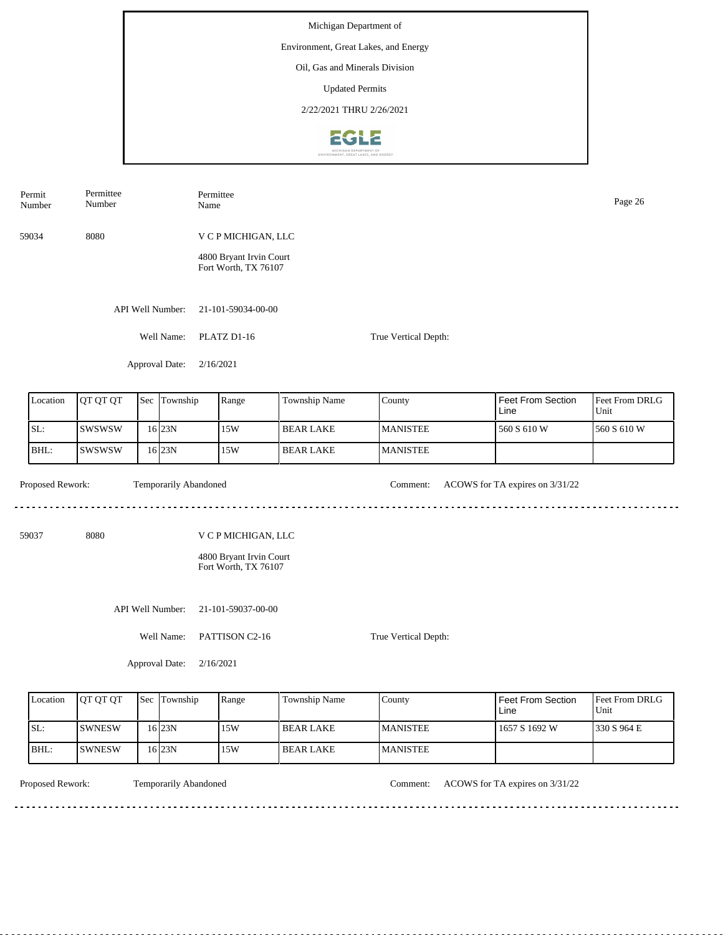Number Name Page 26 Number 59034 8080 V C P MICHIGAN, LLC 4800 Bryant Irvin Court Fort Worth, TX 76107 API Well Number: 21-101-59034-00-00 Well Name: PLATZ D1-16 True Vertical Depth: Approval Date: 2/16/2021 Feet From Section Location | QT QT QT | Sec | Township | Range | Township Name Sec Township County Feet From DRLG Unit Line SL: SWSWSW 15W BEAR LAKE MANISTEE 560 S 610 W 560 S 610 W 16 23N BHL: SWSWSW 23N 15W BEAR LAKE MANISTEE 16 Proposed Rework: Temporarily Abandoned Comment: ACOWS for TA expires on  $3/31/22$ Temporarily Abandoned <u>. . . . . . .</u> . . . . . . . . . . . . . . . . . . . . 59037 8080 V C P MICHIGAN, LLC 4800 Bryant Irvin Court Fort Worth, TX 76107 API Well Number: 21-101-59037-00-00 Well Name: PATTISON C2-16 True Vertical Depth:

Approval Date: 2/16/2021

| Location | <b>OT OT OT</b> | <b>Sec</b> | Township  | Range | Township Name | County           | l Feet From Section<br>Line | <b>Feet From DRLG</b><br>Unit |
|----------|-----------------|------------|-----------|-------|---------------|------------------|-----------------------------|-------------------------------|
| ISL:     | <b>ISWNESW</b>  |            | $16$  23N | 15W   | I BEAR LAKE   | <b>IMANISTEE</b> | 1657 S 1692 W               | 1330 S 964 E                  |
| BHL:     | ISWNESW         |            | $16$  23N | 15W   | I BEAR LAKE   | <b>MANISTEE</b>  |                             |                               |

<u>. . . . . . . .</u>

Permit

Permittee

Permittee

Temporarily Abandoned

Proposed Rework: Temporarily Abandoned Comment: ACOWS for TA expires on  $3/31/22$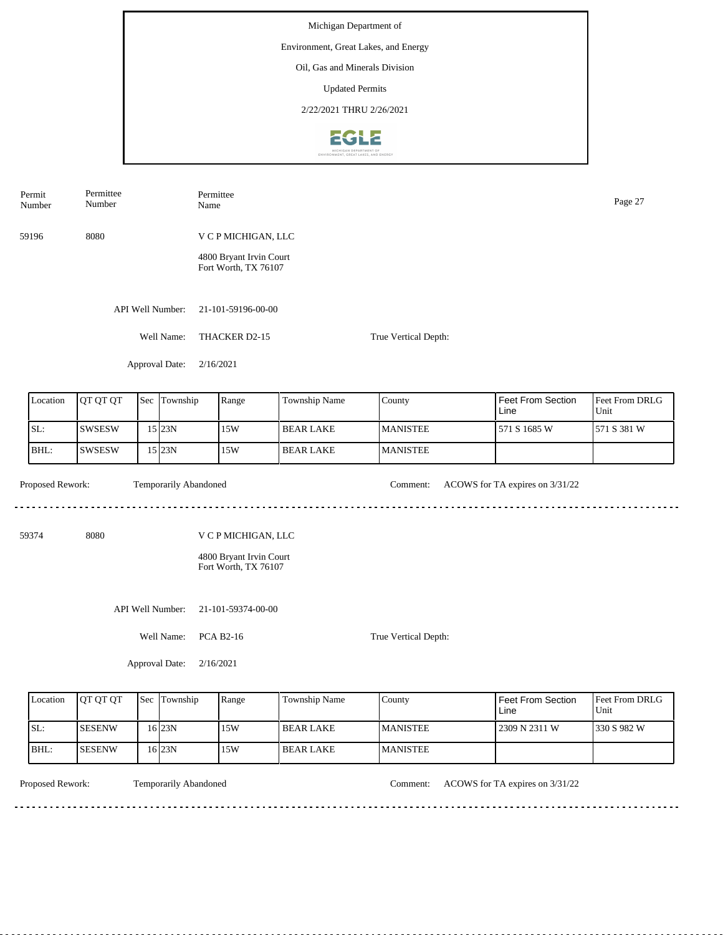| Permit<br>Number | Permittee<br>Number |     |                       | Permittee<br>Name                                                      |                  |                      |                                 | Page 27                |  |  |
|------------------|---------------------|-----|-----------------------|------------------------------------------------------------------------|------------------|----------------------|---------------------------------|------------------------|--|--|
| 59196            | 8080                |     |                       | V C P MICHIGAN, LLC                                                    |                  |                      |                                 |                        |  |  |
|                  |                     |     |                       | 4800 Bryant Irvin Court<br>Fort Worth, TX 76107                        |                  |                      |                                 |                        |  |  |
|                  |                     |     | API Well Number:      | 21-101-59196-00-00                                                     |                  |                      |                                 |                        |  |  |
|                  |                     |     | Well Name:            | THACKER D2-15                                                          |                  | True Vertical Depth: |                                 |                        |  |  |
|                  |                     |     | Approval Date:        | 2/16/2021                                                              |                  |                      |                                 |                        |  |  |
| Location         | QT QT QT            | Sec | Township              | Range                                                                  | Township Name    | County               | Feet From Section<br>Line       | Feet From DRLG<br>Unit |  |  |
| SL:              | <b>SWSESW</b>       |     | 15 23N                | 15W                                                                    | <b>BEAR LAKE</b> | <b>MANISTEE</b>      | 571 S 1685 W                    | 571 S 381 W            |  |  |
| BHL:             | <b>SWSESW</b>       |     | 15 23N                | 15W                                                                    | <b>BEAR LAKE</b> | <b>MANISTEE</b>      |                                 |                        |  |  |
| Proposed Rework: |                     |     | Temporarily Abandoned |                                                                        |                  | Comment:             | ACOWS for TA expires on 3/31/22 |                        |  |  |
| 59374            | 8080                |     |                       | V C P MICHIGAN, LLC<br>4800 Bryant Irvin Court<br>Fort Worth, TX 76107 |                  |                      |                                 |                        |  |  |
|                  |                     |     | API Well Number:      | 21-101-59374-00-00                                                     |                  |                      |                                 |                        |  |  |
|                  |                     |     | Well Name:            | <b>PCA B2-16</b><br>True Vertical Depth:                               |                  |                      |                                 |                        |  |  |
|                  |                     |     | Approval Date:        | 2/16/2021                                                              |                  |                      |                                 |                        |  |  |

| Location | <b>OT OT OT</b> | Sec Township | Range | <b>Township Name</b> | County          | <b>Feet From Section</b><br>Line | <b>Feet From DRLG</b><br>Unit |
|----------|-----------------|--------------|-------|----------------------|-----------------|----------------------------------|-------------------------------|
| SL:      | ISESENW         | 16 23 N      | 15W   | <b>BEAR LAKE</b>     | <b>MANISTEE</b> | 2309 N 2311 W                    | 1330 S 982 W                  |
| IBHL:    | ISESENW         | 16 23 N      | . 15W | <b>BEAR LAKE</b>     | <b>MANISTEE</b> |                                  |                               |

<u>. . . . . . . . .</u>

Temporarily Abandoned

Proposed Rework: Temporarily Abandoned Comment: ACOWS for TA expires on  $3/31/22$ 

<u>. . . . . . . . . . . . . . . . . .</u>